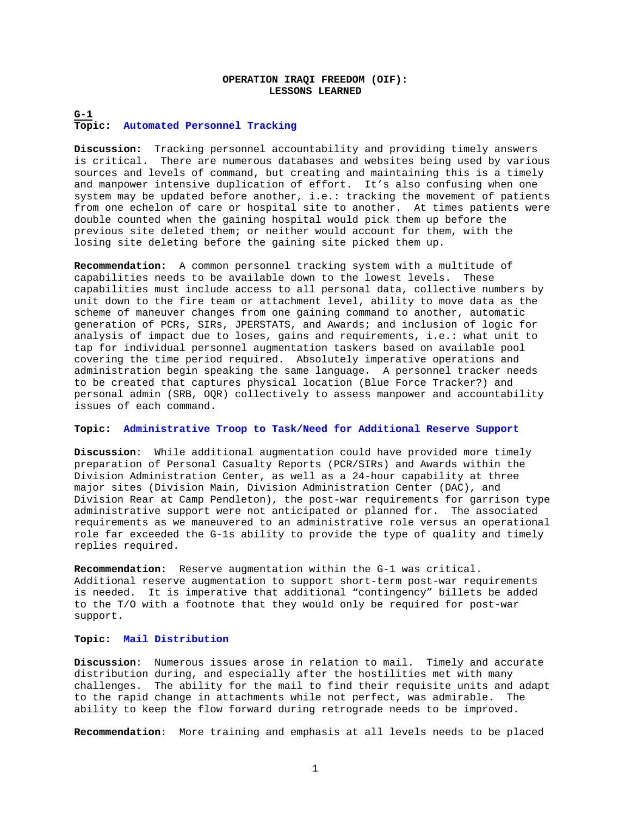# **OPERATION IRAQI FREEDOM (OIF): LESSONS LEARNED**

# **G-1 Topic: Automated Personnel Tracking**

**Discussion:** Tracking personnel accountability and providing timely answers is critical. There are numerous databases and websites being used by various sources and levels of command, but creating and maintaining this is a timely and manpower intensive duplication of effort. It's also confusing when one system may be updated before another, i.e.: tracking the movement of patients from one echelon of care or hospital site to another. At times patients were double counted when the gaining hospital would pick them up before the previous site deleted them; or neither would account for them, with the losing site deleting before the gaining site picked them up.

**Recommendation:** A common personnel tracking system with a multitude of capabilities needs to be available down to the lowest levels. These capabilities must include access to all personal data, collective numbers by unit down to the fire team or attachment level, ability to move data as the scheme of maneuver changes from one gaining command to another, automatic generation of PCRs, SIRs, JPERSTATS, and Awards; and inclusion of logic for analysis of impact due to loses, gains and requirements, i.e.: what unit to tap for individual personnel augmentation taskers based on available pool covering the time period required. Absolutely imperative operations and administration begin speaking the same language. A personnel tracker needs to be created that captures physical location (Blue Force Tracker?) and personal admin (SRB, OQR) collectively to assess manpower and accountability issues of each command.

### **Topic: Administrative Troop to Task/Need for Additional Reserve Support**

**Discussion**: While additional augmentation could have provided more timely preparation of Personal Casualty Reports (PCR/SIRs) and Awards within the Division Administration Center, as well as a 24-hour capability at three major sites (Division Main, Division Administration Center (DAC), and Division Rear at Camp Pendleton), the post-war requirements for garrison type administrative support were not anticipated or planned for. The associated requirements as we maneuvered to an administrative role versus an operational role far exceeded the G-1s ability to provide the type of quality and timely replies required.

**Recommendation:** Reserve augmentation within the G-1 was critical. Additional reserve augmentation to support short-term post-war requirements is needed. It is imperative that additional "contingency" billets be added to the T/O with a footnote that they would only be required for post-war support.

## **Topic: Mail Distribution**

**Discussion**: Numerous issues arose in relation to mail. Timely and accurate distribution during, and especially after the hostilities met with many challenges. The ability for the mail to find their requisite units and adapt to the rapid change in attachments while not perfect, was admirable. The ability to keep the flow forward during retrograde needs to be improved.

**Recommendation**: More training and emphasis at all levels needs to be placed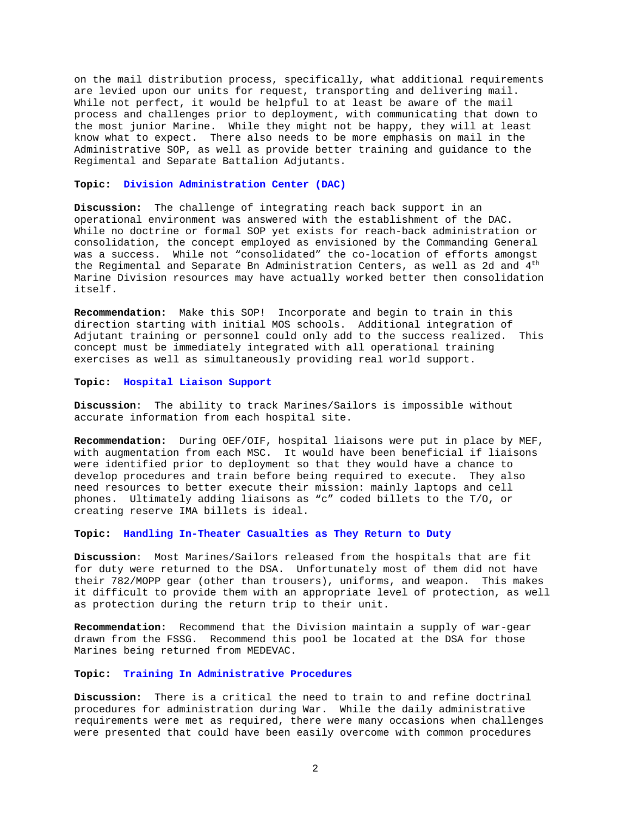on the mail distribution process, specifically, what additional requirements are levied upon our units for request, transporting and delivering mail. While not perfect, it would be helpful to at least be aware of the mail process and challenges prior to deployment, with communicating that down to the most junior Marine. While they might not be happy, they will at least know what to expect. There also needs to be more emphasis on mail in the Administrative SOP, as well as provide better training and guidance to the Regimental and Separate Battalion Adjutants.

#### **Topic: Division Administration Center (DAC)**

**Discussion:** The challenge of integrating reach back support in an operational environment was answered with the establishment of the DAC. While no doctrine or formal SOP yet exists for reach-back administration or consolidation, the concept employed as envisioned by the Commanding General was a success. While not "consolidated" the co-location of efforts amongst the Regimental and Separate Bn Administration Centers, as well as 2d and 4<sup>th</sup> Marine Division resources may have actually worked better then consolidation itself.

**Recommendation:** Make this SOP! Incorporate and begin to train in this direction starting with initial MOS schools. Additional integration of Adjutant training or personnel could only add to the success realized. This concept must be immediately integrated with all operational training exercises as well as simultaneously providing real world support.

#### **Topic: Hospital Liaison Support**

**Discussion**: The ability to track Marines/Sailors is impossible without accurate information from each hospital site.

**Recommendation:** During OEF/OIF, hospital liaisons were put in place by MEF, with augmentation from each MSC. It would have been beneficial if liaisons were identified prior to deployment so that they would have a chance to develop procedures and train before being required to execute. They also need resources to better execute their mission: mainly laptops and cell phones. Ultimately adding liaisons as "c" coded billets to the T/O, or creating reserve IMA billets is ideal.

#### **Topic: Handling In-Theater Casualties as They Return to Duty**

**Discussion**: Most Marines/Sailors released from the hospitals that are fit for duty were returned to the DSA. Unfortunately most of them did not have their 782/MOPP gear (other than trousers), uniforms, and weapon. This makes it difficult to provide them with an appropriate level of protection, as well as protection during the return trip to their unit.

**Recommendation:** Recommend that the Division maintain a supply of war-gear drawn from the FSSG. Recommend this pool be located at the DSA for those Marines being returned from MEDEVAC.

## **Topic: Training In Administrative Procedures**

**Discussion:** There is a critical the need to train to and refine doctrinal procedures for administration during War.While the daily administrative requirements were met as required, there were many occasions when challenges were presented that could have been easily overcome with common procedures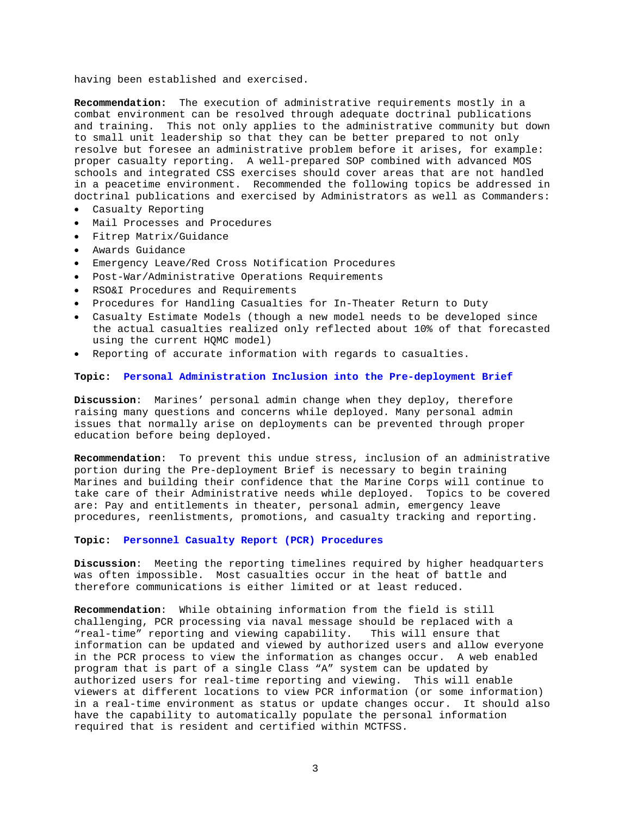having been established and exercised.

**Recommendation:** The execution of administrative requirements mostly in a combat environment can be resolved through adequate doctrinal publications and training. This not only applies to the administrative community but down to small unit leadership so that they can be better prepared to not only resolve but foresee an administrative problem before it arises, for example: proper casualty reporting. A well-prepared SOP combined with advanced MOS schools and integrated CSS exercises should cover areas that are not handled in a peacetime environment. Recommended the following topics be addressed in doctrinal publications and exercised by Administrators as well as Commanders:

- Casualty Reporting
- Mail Processes and Procedures
- Fitrep Matrix/Guidance
- Awards Guidance
- Emergency Leave/Red Cross Notification Procedures
- Post-War/Administrative Operations Requirements
- RSO&I Procedures and Requirements
- Procedures for Handling Casualties for In-Theater Return to Duty
- Casualty Estimate Models (though a new model needs to be developed since the actual casualties realized only reflected about 10% of that forecasted using the current HQMC model)
- Reporting of accurate information with regards to casualties.

## **Topic: Personal Administration Inclusion into the Pre-deployment Brief**

**Discussion**: Marines' personal admin change when they deploy, therefore raising many questions and concerns while deployed. Many personal admin issues that normally arise on deployments can be prevented through proper education before being deployed.

**Recommendation**: To prevent this undue stress, inclusion of an administrative portion during the Pre-deployment Brief is necessary to begin training Marines and building their confidence that the Marine Corps will continue to take care of their Administrative needs while deployed. Topics to be covered are: Pay and entitlements in theater, personal admin, emergency leave procedures, reenlistments, promotions, and casualty tracking and reporting.

#### **Topic: Personnel Casualty Report (PCR) Procedures**

**Discussion**: Meeting the reporting timelines required by higher headquarters was often impossible. Most casualties occur in the heat of battle and therefore communications is either limited or at least reduced.

**Recommendation**: While obtaining information from the field is still challenging, PCR processing via naval message should be replaced with a "real-time" reporting and viewing capability. This will ensure that information can be updated and viewed by authorized users and allow everyone in the PCR process to view the information as changes occur. A web enabled program that is part of a single Class "A" system can be updated by authorized users for real-time reporting and viewing. This will enable viewers at different locations to view PCR information (or some information) in a real-time environment as status or update changes occur. It should also have the capability to automatically populate the personal information required that is resident and certified within MCTFSS.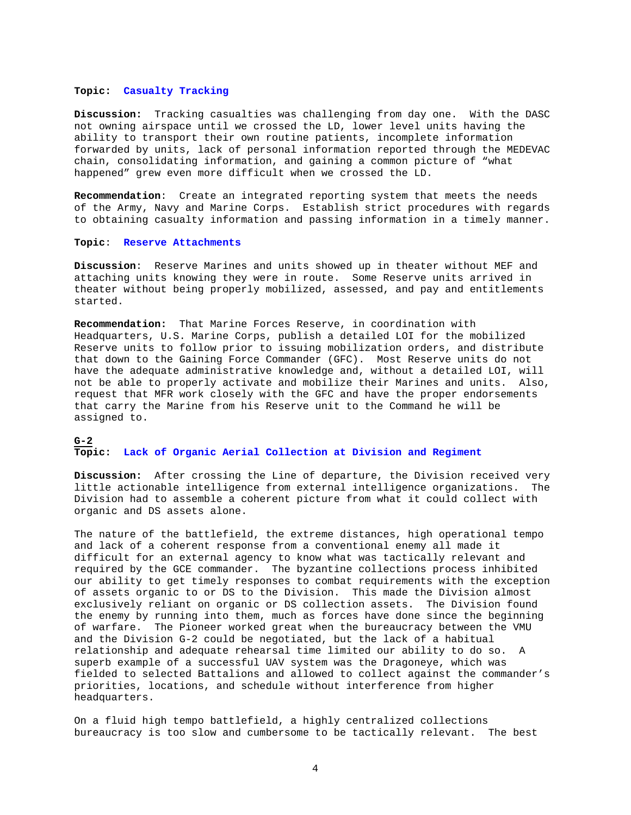### **Topic: Casualty Tracking**

**Discussion:** Tracking casualties was challenging from day one. With the DASC not owning airspace until we crossed the LD, lower level units having the ability to transport their own routine patients, incomplete information forwarded by units, lack of personal information reported through the MEDEVAC chain, consolidating information, and gaining a common picture of "what happened" grew even more difficult when we crossed the LD.

**Recommendation**: Create an integrated reporting system that meets the needs of the Army, Navy and Marine Corps. Establish strict procedures with regards to obtaining casualty information and passing information in a timely manner.

## **Topic**: **Reserve Attachments**

**Discussion**: Reserve Marines and units showed up in theater without MEF and attaching units knowing they were in route. Some Reserve units arrived in theater without being properly mobilized, assessed, and pay and entitlements started.

**Recommendation:** That Marine Forces Reserve, in coordination with Headquarters, U.S. Marine Corps, publish a detailed LOI for the mobilized Reserve units to follow prior to issuing mobilization orders, and distribute that down to the Gaining Force Commander (GFC). Most Reserve units do not have the adequate administrative knowledge and, without a detailed LOI, will not be able to properly activate and mobilize their Marines and units. Also, request that MFR work closely with the GFC and have the proper endorsements that carry the Marine from his Reserve unit to the Command he will be assigned to.

## **G-2 Topic: Lack of Organic Aerial Collection at Division and Regiment**

**Discussion:** After crossing the Line of departure, the Division received very little actionable intelligence from external intelligence organizations. The Division had to assemble a coherent picture from what it could collect with organic and DS assets alone.

The nature of the battlefield, the extreme distances, high operational tempo and lack of a coherent response from a conventional enemy all made it difficult for an external agency to know what was tactically relevant and required by the GCE commander. The byzantine collections process inhibited our ability to get timely responses to combat requirements with the exception of assets organic to or DS to the Division. This made the Division almost exclusively reliant on organic or DS collection assets. The Division found the enemy by running into them, much as forces have done since the beginning of warfare. The Pioneer worked great when the bureaucracy between the VMU and the Division G-2 could be negotiated, but the lack of a habitual relationship and adequate rehearsal time limited our ability to do so. A superb example of a successful UAV system was the Dragoneye, which was fielded to selected Battalions and allowed to collect against the commander's priorities, locations, and schedule without interference from higher headquarters.

On a fluid high tempo battlefield, a highly centralized collections bureaucracy is too slow and cumbersome to be tactically relevant. The best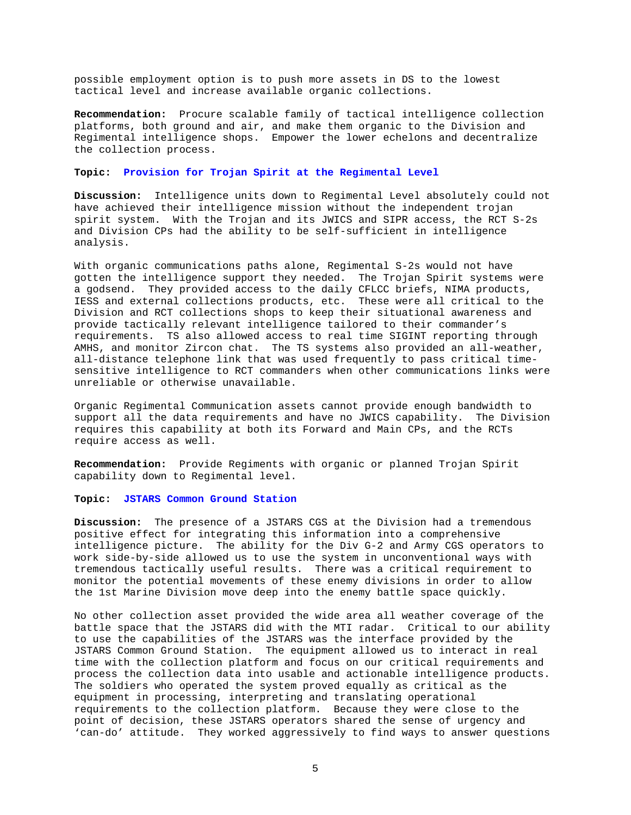possible employment option is to push more assets in DS to the lowest tactical level and increase available organic collections.

**Recommendation:** Procure scalable family of tactical intelligence collection platforms, both ground and air, and make them organic to the Division and Regimental intelligence shops. Empower the lower echelons and decentralize the collection process.

#### **Topic: Provision for Trojan Spirit at the Regimental Level**

**Discussion:** Intelligence units down to Regimental Level absolutely could not have achieved their intelligence mission without the independent trojan spirit system. With the Trojan and its JWICS and SIPR access, the RCT S-2s and Division CPs had the ability to be self-sufficient in intelligence analysis.

With organic communications paths alone, Regimental S-2s would not have gotten the intelligence support they needed. The Trojan Spirit systems were a godsend. They provided access to the daily CFLCC briefs, NIMA products, IESS and external collections products, etc. These were all critical to the Division and RCT collections shops to keep their situational awareness and provide tactically relevant intelligence tailored to their commander's requirements. TS also allowed access to real time SIGINT reporting through AMHS, and monitor Zircon chat. The TS systems also provided an all-weather, all-distance telephone link that was used frequently to pass critical timesensitive intelligence to RCT commanders when other communications links were unreliable or otherwise unavailable.

Organic Regimental Communication assets cannot provide enough bandwidth to support all the data requirements and have no JWICS capability. The Division requires this capability at both its Forward and Main CPs, and the RCTs require access as well.

**Recommendation:** Provide Regiments with organic or planned Trojan Spirit capability down to Regimental level.

### **Topic: JSTARS Common Ground Station**

**Discussion:** The presence of a JSTARS CGS at the Division had a tremendous positive effect for integrating this information into a comprehensive intelligence picture. The ability for the Div G-2 and Army CGS operators to work side-by-side allowed us to use the system in unconventional ways with tremendous tactically useful results. There was a critical requirement to monitor the potential movements of these enemy divisions in order to allow the 1st Marine Division move deep into the enemy battle space quickly.

No other collection asset provided the wide area all weather coverage of the battle space that the JSTARS did with the MTI radar. Critical to our ability to use the capabilities of the JSTARS was the interface provided by the JSTARS Common Ground Station. The equipment allowed us to interact in real time with the collection platform and focus on our critical requirements and process the collection data into usable and actionable intelligence products. The soldiers who operated the system proved equally as critical as the equipment in processing, interpreting and translating operational requirements to the collection platform. Because they were close to the point of decision, these JSTARS operators shared the sense of urgency and 'can-do' attitude. They worked aggressively to find ways to answer questions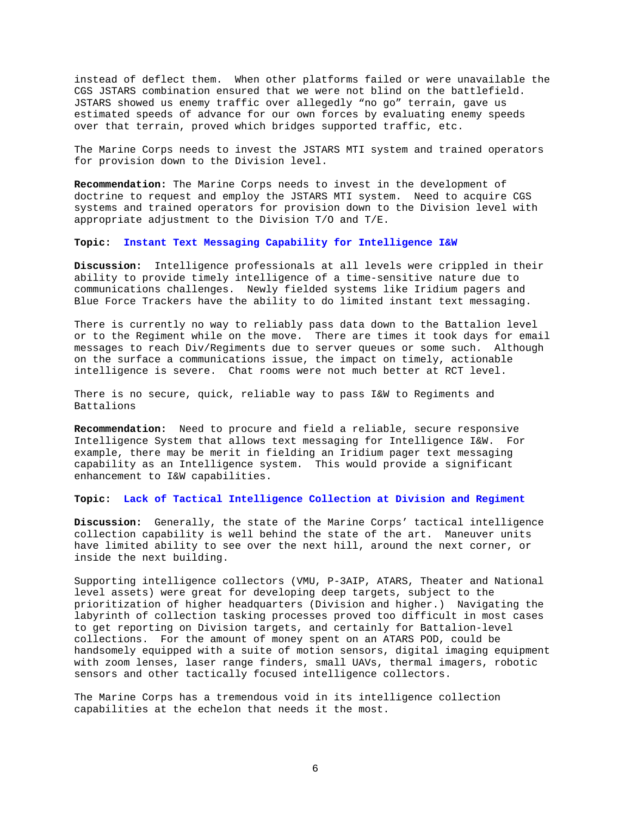instead of deflect them. When other platforms failed or were unavailable the CGS JSTARS combination ensured that we were not blind on the battlefield. JSTARS showed us enemy traffic over allegedly "no go" terrain, gave us estimated speeds of advance for our own forces by evaluating enemy speeds over that terrain, proved which bridges supported traffic, etc.

The Marine Corps needs to invest the JSTARS MTI system and trained operators for provision down to the Division level.

**Recommendation:** The Marine Corps needs to invest in the development of doctrine to request and employ the JSTARS MTI system. Need to acquire CGS systems and trained operators for provision down to the Division level with appropriate adjustment to the Division T/O and T/E.

**Topic: Instant Text Messaging Capability for Intelligence I&W** 

**Discussion:** Intelligence professionals at all levels were crippled in their ability to provide timely intelligence of a time-sensitive nature due to communications challenges. Newly fielded systems like Iridium pagers and Blue Force Trackers have the ability to do limited instant text messaging.

There is currently no way to reliably pass data down to the Battalion level or to the Regiment while on the move. There are times it took days for email messages to reach Div/Regiments due to server queues or some such. Although on the surface a communications issue, the impact on timely, actionable intelligence is severe. Chat rooms were not much better at RCT level.

There is no secure, quick, reliable way to pass I&W to Regiments and Battalions

**Recommendation:** Need to procure and field a reliable, secure responsive Intelligence System that allows text messaging for Intelligence I&W. For example, there may be merit in fielding an Iridium pager text messaging capability as an Intelligence system. This would provide a significant enhancement to I&W capabilities.

**Topic: Lack of Tactical Intelligence Collection at Division and Regiment** 

**Discussion:** Generally, the state of the Marine Corps' tactical intelligence collection capability is well behind the state of the art. Maneuver units have limited ability to see over the next hill, around the next corner, or inside the next building.

Supporting intelligence collectors (VMU, P-3AIP, ATARS, Theater and National level assets) were great for developing deep targets, subject to the prioritization of higher headquarters (Division and higher.) Navigating the labyrinth of collection tasking processes proved too difficult in most cases to get reporting on Division targets, and certainly for Battalion-level collections. For the amount of money spent on an ATARS POD, could be handsomely equipped with a suite of motion sensors, digital imaging equipment with zoom lenses, laser range finders, small UAVs, thermal imagers, robotic sensors and other tactically focused intelligence collectors.

The Marine Corps has a tremendous void in its intelligence collection capabilities at the echelon that needs it the most.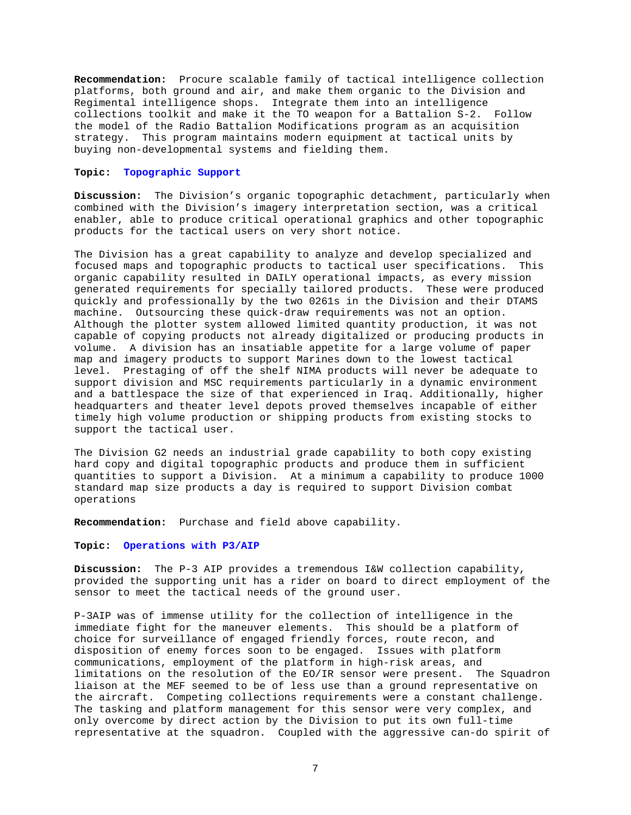**Recommendation:** Procure scalable family of tactical intelligence collection platforms, both ground and air, and make them organic to the Division and Regimental intelligence shops. Integrate them into an intelligence collections toolkit and make it the TO weapon for a Battalion S-2. Follow the model of the Radio Battalion Modifications program as an acquisition strategy. This program maintains modern equipment at tactical units by buying non-developmental systems and fielding them.

#### **Topic: Topographic Support**

**Discussion:** The Division's organic topographic detachment, particularly when combined with the Division's imagery interpretation section, was a critical enabler, able to produce critical operational graphics and other topographic products for the tactical users on very short notice.

The Division has a great capability to analyze and develop specialized and focused maps and topographic products to tactical user specifications. This organic capability resulted in DAILY operational impacts, as every mission generated requirements for specially tailored products. These were produced quickly and professionally by the two 0261s in the Division and their DTAMS machine. Outsourcing these quick-draw requirements was not an option. Although the plotter system allowed limited quantity production, it was not capable of copying products not already digitalized or producing products in volume. A division has an insatiable appetite for a large volume of paper map and imagery products to support Marines down to the lowest tactical level. Prestaging of off the shelf NIMA products will never be adequate to support division and MSC requirements particularly in a dynamic environment and a battlespace the size of that experienced in Iraq. Additionally, higher headquarters and theater level depots proved themselves incapable of either timely high volume production or shipping products from existing stocks to support the tactical user.

The Division G2 needs an industrial grade capability to both copy existing hard copy and digital topographic products and produce them in sufficient quantities to support a Division. At a minimum a capability to produce 1000 standard map size products a day is required to support Division combat operations

**Recommendation:** Purchase and field above capability.

#### **Topic: Operations with P3/AIP**

**Discussion:** The P-3 AIP provides a tremendous I&W collection capability, provided the supporting unit has a rider on board to direct employment of the sensor to meet the tactical needs of the ground user.

P-3AIP was of immense utility for the collection of intelligence in the immediate fight for the maneuver elements. This should be a platform of choice for surveillance of engaged friendly forces, route recon, and disposition of enemy forces soon to be engaged. Issues with platform communications, employment of the platform in high-risk areas, and limitations on the resolution of the EO/IR sensor were present. The Squadron liaison at the MEF seemed to be of less use than a ground representative on the aircraft. Competing collections requirements were a constant challenge. The tasking and platform management for this sensor were very complex, and only overcome by direct action by the Division to put its own full-time representative at the squadron. Coupled with the aggressive can-do spirit of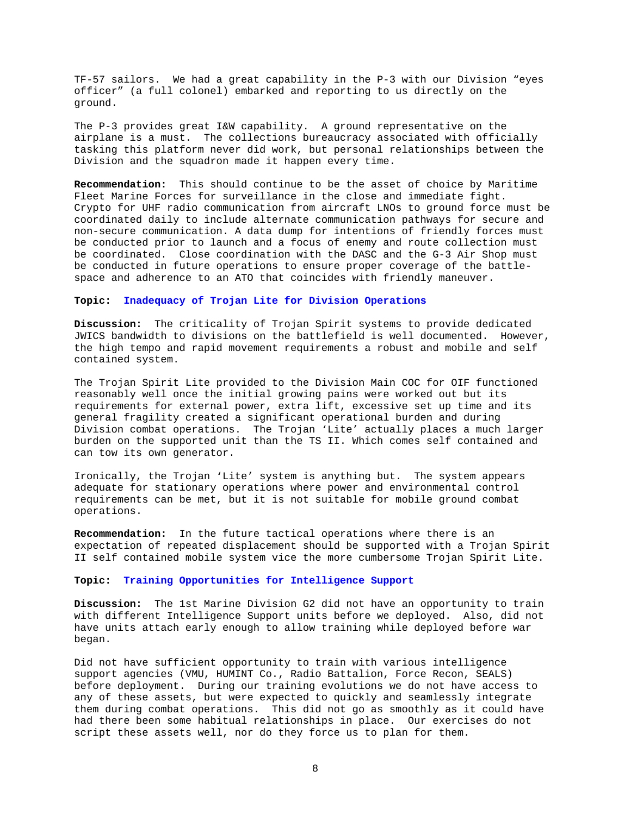TF-57 sailors. We had a great capability in the P-3 with our Division "eyes officer" (a full colonel) embarked and reporting to us directly on the ground.

The P-3 provides great I&W capability. A ground representative on the airplane is a must. The collections bureaucracy associated with officially tasking this platform never did work, but personal relationships between the Division and the squadron made it happen every time.

**Recommendation:** This should continue to be the asset of choice by Maritime Fleet Marine Forces for surveillance in the close and immediate fight. Crypto for UHF radio communication from aircraft LNOs to ground force must be coordinated daily to include alternate communication pathways for secure and non-secure communication. A data dump for intentions of friendly forces must be conducted prior to launch and a focus of enemy and route collection must be coordinated. Close coordination with the DASC and the G-3 Air Shop must be conducted in future operations to ensure proper coverage of the battlespace and adherence to an ATO that coincides with friendly maneuver.

### **Topic: Inadequacy of Trojan Lite for Division Operations**

**Discussion:** The criticality of Trojan Spirit systems to provide dedicated JWICS bandwidth to divisions on the battlefield is well documented. However, the high tempo and rapid movement requirements a robust and mobile and self contained system.

The Trojan Spirit Lite provided to the Division Main COC for OIF functioned reasonably well once the initial growing pains were worked out but its requirements for external power, extra lift, excessive set up time and its general fragility created a significant operational burden and during Division combat operations. The Trojan 'Lite' actually places a much larger burden on the supported unit than the TS II. Which comes self contained and can tow its own generator.

Ironically, the Trojan 'Lite' system is anything but. The system appears adequate for stationary operations where power and environmental control requirements can be met, but it is not suitable for mobile ground combat operations.

**Recommendation:** In the future tactical operations where there is an expectation of repeated displacement should be supported with a Trojan Spirit II self contained mobile system vice the more cumbersome Trojan Spirit Lite.

#### **Topic: Training Opportunities for Intelligence Support**

**Discussion:** The 1st Marine Division G2 did not have an opportunity to train with different Intelligence Support units before we deployed. Also, did not have units attach early enough to allow training while deployed before war began.

Did not have sufficient opportunity to train with various intelligence support agencies (VMU, HUMINT Co., Radio Battalion, Force Recon, SEALS) before deployment. During our training evolutions we do not have access to any of these assets, but were expected to quickly and seamlessly integrate them during combat operations. This did not go as smoothly as it could have had there been some habitual relationships in place. Our exercises do not script these assets well, nor do they force us to plan for them.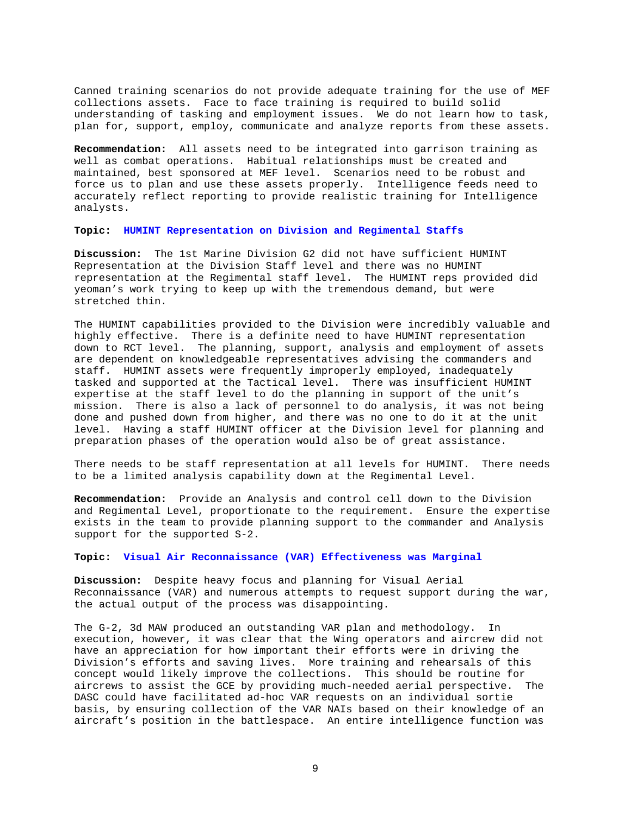Canned training scenarios do not provide adequate training for the use of MEF collections assets. Face to face training is required to build solid understanding of tasking and employment issues. We do not learn how to task, plan for, support, employ, communicate and analyze reports from these assets.

**Recommendation:** All assets need to be integrated into garrison training as well as combat operations. Habitual relationships must be created and maintained, best sponsored at MEF level. Scenarios need to be robust and force us to plan and use these assets properly. Intelligence feeds need to accurately reflect reporting to provide realistic training for Intelligence analysts.

**Topic: HUMINT Representation on Division and Regimental Staffs** 

**Discussion:** The 1st Marine Division G2 did not have sufficient HUMINT Representation at the Division Staff level and there was no HUMINT representation at the Regimental staff level. The HUMINT reps provided did yeoman's work trying to keep up with the tremendous demand, but were stretched thin.

The HUMINT capabilities provided to the Division were incredibly valuable and highly effective. There is a definite need to have HUMINT representation down to RCT level. The planning, support, analysis and employment of assets are dependent on knowledgeable representatives advising the commanders and staff. HUMINT assets were frequently improperly employed, inadequately tasked and supported at the Tactical level. There was insufficient HUMINT expertise at the staff level to do the planning in support of the unit's mission. There is also a lack of personnel to do analysis, it was not being done and pushed down from higher, and there was no one to do it at the unit level. Having a staff HUMINT officer at the Division level for planning and preparation phases of the operation would also be of great assistance.

There needs to be staff representation at all levels for HUMINT. There needs to be a limited analysis capability down at the Regimental Level.

**Recommendation:** Provide an Analysis and control cell down to the Division and Regimental Level, proportionate to the requirement. Ensure the expertise exists in the team to provide planning support to the commander and Analysis support for the supported S-2.

**Topic: Visual Air Reconnaissance (VAR) Effectiveness was Marginal** 

**Discussion:** Despite heavy focus and planning for Visual Aerial Reconnaissance (VAR) and numerous attempts to request support during the war, the actual output of the process was disappointing.

The G-2, 3d MAW produced an outstanding VAR plan and methodology. In execution, however, it was clear that the Wing operators and aircrew did not have an appreciation for how important their efforts were in driving the Division's efforts and saving lives. More training and rehearsals of this concept would likely improve the collections. This should be routine for aircrews to assist the GCE by providing much-needed aerial perspective. The DASC could have facilitated ad-hoc VAR requests on an individual sortie basis, by ensuring collection of the VAR NAIs based on their knowledge of an aircraft's position in the battlespace. An entire intelligence function was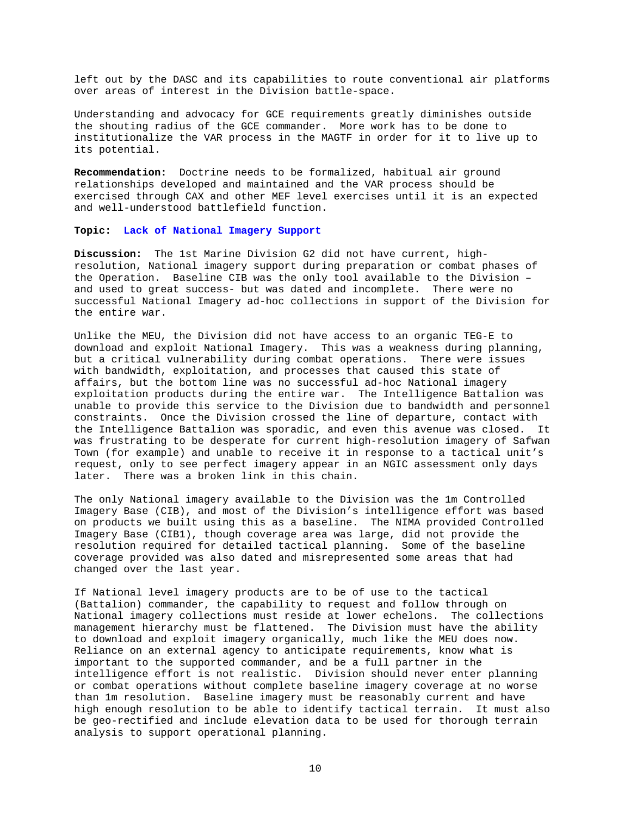left out by the DASC and its capabilities to route conventional air platforms over areas of interest in the Division battle-space.

Understanding and advocacy for GCE requirements greatly diminishes outside the shouting radius of the GCE commander. More work has to be done to institutionalize the VAR process in the MAGTF in order for it to live up to its potential.

**Recommendation:** Doctrine needs to be formalized, habitual air ground relationships developed and maintained and the VAR process should be exercised through CAX and other MEF level exercises until it is an expected and well-understood battlefield function.

**Topic: Lack of National Imagery Support** 

**Discussion:** The 1st Marine Division G2 did not have current, highresolution, National imagery support during preparation or combat phases of the Operation. Baseline CIB was the only tool available to the Division – and used to great success- but was dated and incomplete. There were no successful National Imagery ad-hoc collections in support of the Division for the entire war.

Unlike the MEU, the Division did not have access to an organic TEG-E to download and exploit National Imagery. This was a weakness during planning, but a critical vulnerability during combat operations. There were issues with bandwidth, exploitation, and processes that caused this state of affairs, but the bottom line was no successful ad-hoc National imagery exploitation products during the entire war. The Intelligence Battalion was unable to provide this service to the Division due to bandwidth and personnel constraints. Once the Division crossed the line of departure, contact with the Intelligence Battalion was sporadic, and even this avenue was closed. It was frustrating to be desperate for current high-resolution imagery of Safwan Town (for example) and unable to receive it in response to a tactical unit's request, only to see perfect imagery appear in an NGIC assessment only days later. There was a broken link in this chain.

The only National imagery available to the Division was the 1m Controlled Imagery Base (CIB), and most of the Division's intelligence effort was based on products we built using this as a baseline. The NIMA provided Controlled Imagery Base (CIB1), though coverage area was large, did not provide the resolution required for detailed tactical planning. Some of the baseline coverage provided was also dated and misrepresented some areas that had changed over the last year.

If National level imagery products are to be of use to the tactical (Battalion) commander, the capability to request and follow through on National imagery collections must reside at lower echelons. The collections management hierarchy must be flattened. The Division must have the ability to download and exploit imagery organically, much like the MEU does now. Reliance on an external agency to anticipate requirements, know what is important to the supported commander, and be a full partner in the intelligence effort is not realistic. Division should never enter planning or combat operations without complete baseline imagery coverage at no worse than 1m resolution. Baseline imagery must be reasonably current and have high enough resolution to be able to identify tactical terrain. It must also be geo-rectified and include elevation data to be used for thorough terrain analysis to support operational planning.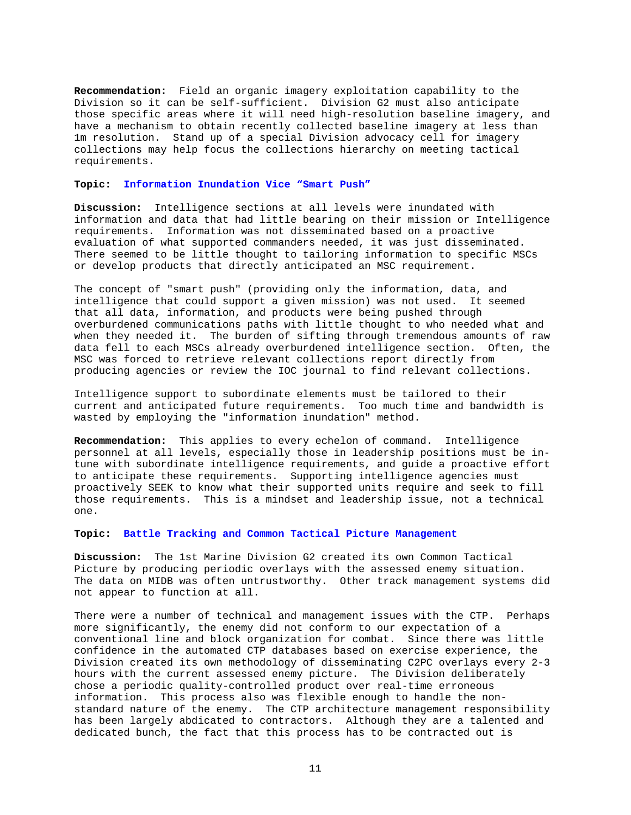**Recommendation:** Field an organic imagery exploitation capability to the Division so it can be self-sufficient. Division G2 must also anticipate those specific areas where it will need high-resolution baseline imagery, and have a mechanism to obtain recently collected baseline imagery at less than 1m resolution. Stand up of a special Division advocacy cell for imagery collections may help focus the collections hierarchy on meeting tactical requirements.

#### **Topic: Information Inundation Vice "Smart Push"**

**Discussion:** Intelligence sections at all levels were inundated with information and data that had little bearing on their mission or Intelligence requirements. Information was not disseminated based on a proactive evaluation of what supported commanders needed, it was just disseminated. There seemed to be little thought to tailoring information to specific MSCs or develop products that directly anticipated an MSC requirement.

The concept of "smart push" (providing only the information, data, and intelligence that could support a given mission) was not used. It seemed that all data, information, and products were being pushed through overburdened communications paths with little thought to who needed what and when they needed it. The burden of sifting through tremendous amounts of raw data fell to each MSCs already overburdened intelligence section. Often, the MSC was forced to retrieve relevant collections report directly from producing agencies or review the IOC journal to find relevant collections.

Intelligence support to subordinate elements must be tailored to their current and anticipated future requirements. Too much time and bandwidth is wasted by employing the "information inundation" method.

**Recommendation:** This applies to every echelon of command. Intelligence personnel at all levels, especially those in leadership positions must be intune with subordinate intelligence requirements, and guide a proactive effort to anticipate these requirements. Supporting intelligence agencies must proactively SEEK to know what their supported units require and seek to fill those requirements. This is a mindset and leadership issue, not a technical one.

**Topic: Battle Tracking and Common Tactical Picture Management** 

**Discussion:** The 1st Marine Division G2 created its own Common Tactical Picture by producing periodic overlays with the assessed enemy situation. The data on MIDB was often untrustworthy. Other track management systems did not appear to function at all.

There were a number of technical and management issues with the CTP. Perhaps more significantly, the enemy did not conform to our expectation of a conventional line and block organization for combat. Since there was little confidence in the automated CTP databases based on exercise experience, the Division created its own methodology of disseminating C2PC overlays every 2-3 hours with the current assessed enemy picture. The Division deliberately chose a periodic quality-controlled product over real-time erroneous information. This process also was flexible enough to handle the nonstandard nature of the enemy. The CTP architecture management responsibility has been largely abdicated to contractors. Although they are a talented and dedicated bunch, the fact that this process has to be contracted out is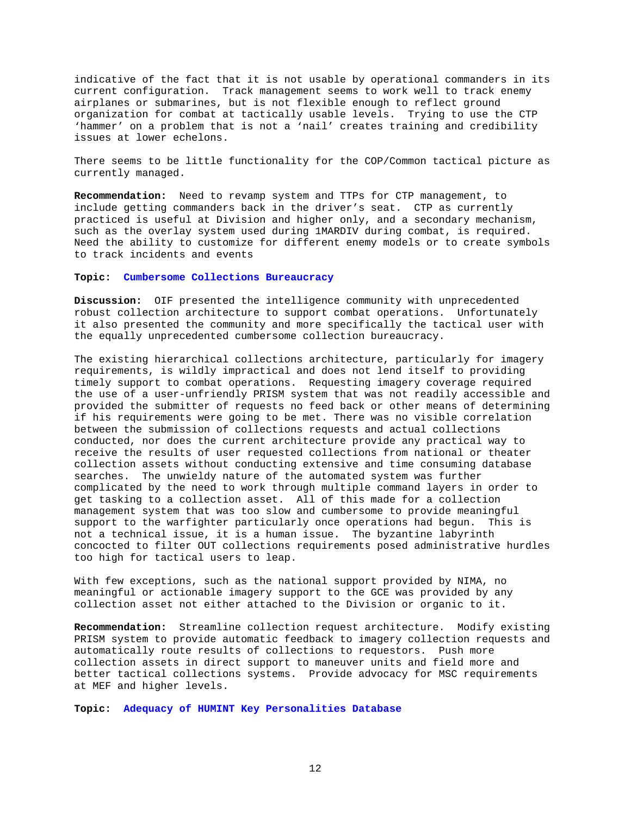indicative of the fact that it is not usable by operational commanders in its current configuration. Track management seems to work well to track enemy airplanes or submarines, but is not flexible enough to reflect ground organization for combat at tactically usable levels. Trying to use the CTP 'hammer' on a problem that is not a 'nail' creates training and credibility issues at lower echelons.

There seems to be little functionality for the COP/Common tactical picture as currently managed.

**Recommendation:** Need to revamp system and TTPs for CTP management, to include getting commanders back in the driver's seat. CTP as currently practiced is useful at Division and higher only, and a secondary mechanism, such as the overlay system used during 1MARDIV during combat, is required. Need the ability to customize for different enemy models or to create symbols to track incidents and events

## **Topic: Cumbersome Collections Bureaucracy**

**Discussion:** OIF presented the intelligence community with unprecedented robust collection architecture to support combat operations. Unfortunately it also presented the community and more specifically the tactical user with the equally unprecedented cumbersome collection bureaucracy.

The existing hierarchical collections architecture, particularly for imagery requirements, is wildly impractical and does not lend itself to providing timely support to combat operations. Requesting imagery coverage required the use of a user-unfriendly PRISM system that was not readily accessible and provided the submitter of requests no feed back or other means of determining if his requirements were going to be met. There was no visible correlation between the submission of collections requests and actual collections conducted, nor does the current architecture provide any practical way to receive the results of user requested collections from national or theater collection assets without conducting extensive and time consuming database searches. The unwieldy nature of the automated system was further complicated by the need to work through multiple command layers in order to get tasking to a collection asset. All of this made for a collection management system that was too slow and cumbersome to provide meaningful support to the warfighter particularly once operations had begun. This is not a technical issue, it is a human issue. The byzantine labyrinth concocted to filter OUT collections requirements posed administrative hurdles too high for tactical users to leap.

With few exceptions, such as the national support provided by NIMA, no meaningful or actionable imagery support to the GCE was provided by any collection asset not either attached to the Division or organic to it.

**Recommendation:** Streamline collection request architecture. Modify existing PRISM system to provide automatic feedback to imagery collection requests and automatically route results of collections to requestors. Push more collection assets in direct support to maneuver units and field more and better tactical collections systems. Provide advocacy for MSC requirements at MEF and higher levels.

**Topic: Adequacy of HUMINT Key Personalities Database**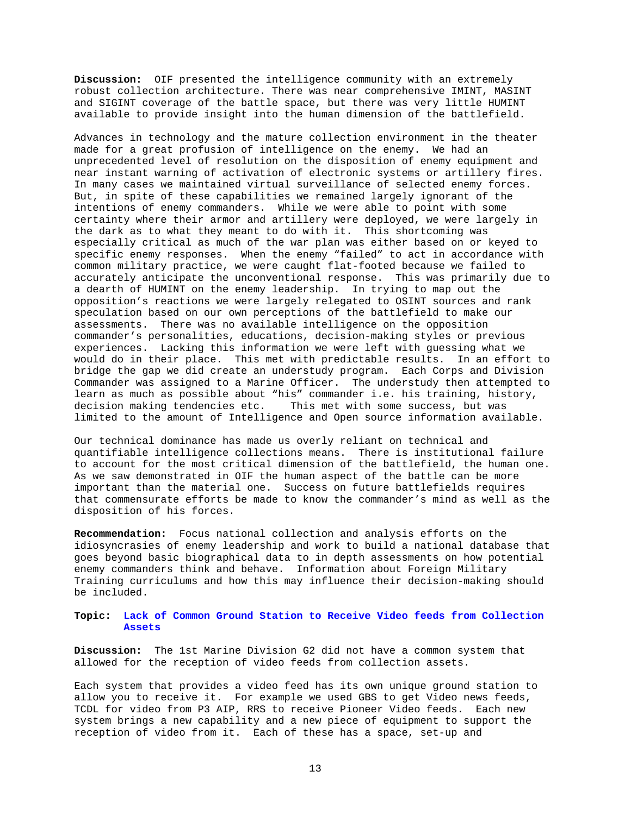**Discussion:** OIF presented the intelligence community with an extremely robust collection architecture. There was near comprehensive IMINT, MASINT and SIGINT coverage of the battle space, but there was very little HUMINT available to provide insight into the human dimension of the battlefield.

Advances in technology and the mature collection environment in the theater made for a great profusion of intelligence on the enemy. We had an unprecedented level of resolution on the disposition of enemy equipment and near instant warning of activation of electronic systems or artillery fires. In many cases we maintained virtual surveillance of selected enemy forces. But, in spite of these capabilities we remained largely ignorant of the intentions of enemy commanders. While we were able to point with some certainty where their armor and artillery were deployed, we were largely in the dark as to what they meant to do with it. This shortcoming was especially critical as much of the war plan was either based on or keyed to specific enemy responses. When the enemy "failed" to act in accordance with common military practice, we were caught flat-footed because we failed to accurately anticipate the unconventional response. This was primarily due to a dearth of HUMINT on the enemy leadership. In trying to map out the opposition's reactions we were largely relegated to OSINT sources and rank speculation based on our own perceptions of the battlefield to make our assessments. There was no available intelligence on the opposition commander's personalities, educations, decision-making styles or previous experiences. Lacking this information we were left with guessing what we would do in their place. This met with predictable results. In an effort to bridge the gap we did create an understudy program. Each Corps and Division Commander was assigned to a Marine Officer. The understudy then attempted to learn as much as possible about "his" commander i.e. his training, history, decision making tendencies etc. This met with some success, but was limited to the amount of Intelligence and Open source information available.

Our technical dominance has made us overly reliant on technical and quantifiable intelligence collections means. There is institutional failure to account for the most critical dimension of the battlefield, the human one. As we saw demonstrated in OIF the human aspect of the battle can be more important than the material one. Success on future battlefields requires that commensurate efforts be made to know the commander's mind as well as the disposition of his forces.

**Recommendation:** Focus national collection and analysis efforts on the idiosyncrasies of enemy leadership and work to build a national database that goes beyond basic biographical data to in depth assessments on how potential enemy commanders think and behave. Information about Foreign Military Training curriculums and how this may influence their decision-making should be included.

**Topic: Lack of Common Ground Station to Receive Video feeds from Collection Assets**

**Discussion:** The 1st Marine Division G2 did not have a common system that allowed for the reception of video feeds from collection assets.

Each system that provides a video feed has its own unique ground station to allow you to receive it. For example we used GBS to get Video news feeds, TCDL for video from P3 AIP, RRS to receive Pioneer Video feeds. Each new system brings a new capability and a new piece of equipment to support the reception of video from it. Each of these has a space, set-up and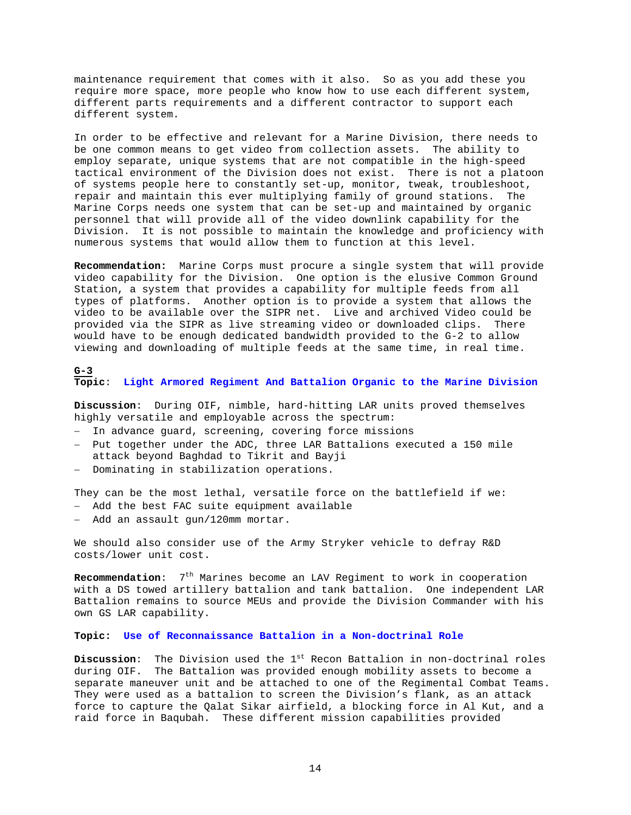maintenance requirement that comes with it also. So as you add these you require more space, more people who know how to use each different system, different parts requirements and a different contractor to support each different system.

In order to be effective and relevant for a Marine Division, there needs to be one common means to get video from collection assets. The ability to employ separate, unique systems that are not compatible in the high-speed tactical environment of the Division does not exist. There is not a platoon of systems people here to constantly set-up, monitor, tweak, troubleshoot, repair and maintain this ever multiplying family of ground stations. The Marine Corps needs one system that can be set-up and maintained by organic personnel that will provide all of the video downlink capability for the Division. It is not possible to maintain the knowledge and proficiency with numerous systems that would allow them to function at this level.

**Recommendation:** Marine Corps must procure a single system that will provide video capability for the Division. One option is the elusive Common Ground Station, a system that provides a capability for multiple feeds from all types of platforms. Another option is to provide a system that allows the video to be available over the SIPR net. Live and archived Video could be provided via the SIPR as live streaming video or downloaded clips. There would have to be enough dedicated bandwidth provided to the G-2 to allow viewing and downloading of multiple feeds at the same time, in real time.

## **G-3 Topic**: **Light Armored Regiment And Battalion Organic to the Marine Division**

**Discussion**: During OIF, nimble, hard-hitting LAR units proved themselves highly versatile and employable across the spectrum:

- − In advance guard, screening, covering force missions
- − Put together under the ADC, three LAR Battalions executed a 150 mile attack beyond Baghdad to Tikrit and Bayji
- − Dominating in stabilization operations.

They can be the most lethal, versatile force on the battlefield if we: − Add the best FAC suite equipment available

− Add an assault gun/120mm mortar.

We should also consider use of the Army Stryker vehicle to defray R&D costs/lower unit cost.

**Recommendation:** 7<sup>th</sup> Marines become an LAV Regiment to work in cooperation with a DS towed artillery battalion and tank battalion. One independent LAR Battalion remains to source MEUs and provide the Division Commander with his own GS LAR capability.

### **Topic: Use of Reconnaissance Battalion in a Non-doctrinal Role**

**Discussion:** The Division used the 1<sup>st</sup> Recon Battalion in non-doctrinal roles during OIF. The Battalion was provided enough mobility assets to become a separate maneuver unit and be attached to one of the Regimental Combat Teams. They were used as a battalion to screen the Division's flank, as an attack force to capture the Qalat Sikar airfield, a blocking force in Al Kut, and a raid force in Baqubah. These different mission capabilities provided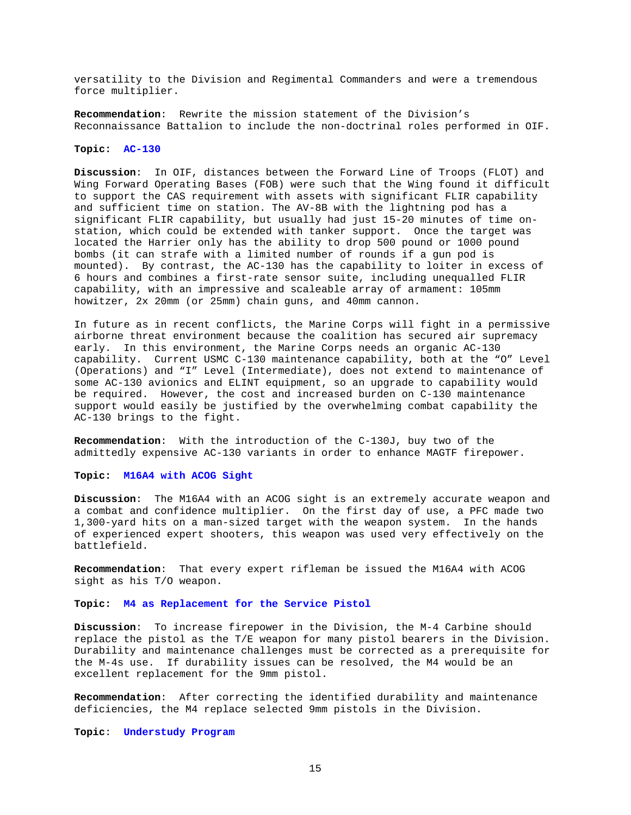versatility to the Division and Regimental Commanders and were a tremendous force multiplier.

**Recommendation**: Rewrite the mission statement of the Division's Reconnaissance Battalion to include the non-doctrinal roles performed in OIF.

#### **Topic: AC-130**

**Discussion**: In OIF, distances between the Forward Line of Troops (FLOT) and Wing Forward Operating Bases (FOB) were such that the Wing found it difficult to support the CAS requirement with assets with significant FLIR capability and sufficient time on station. The AV-8B with the lightning pod has a significant FLIR capability, but usually had just 15-20 minutes of time onstation, which could be extended with tanker support. Once the target was located the Harrier only has the ability to drop 500 pound or 1000 pound bombs (it can strafe with a limited number of rounds if a gun pod is mounted). By contrast, the AC-130 has the capability to loiter in excess of 6 hours and combines a first-rate sensor suite, including unequalled FLIR capability, with an impressive and scaleable array of armament: 105mm howitzer, 2x 20mm (or 25mm) chain guns, and 40mm cannon.

In future as in recent conflicts, the Marine Corps will fight in a permissive airborne threat environment because the coalition has secured air supremacy early. In this environment, the Marine Corps needs an organic AC-130 capability. Current USMC C-130 maintenance capability, both at the "O" Level (Operations) and "I" Level (Intermediate), does not extend to maintenance of some AC-130 avionics and ELINT equipment, so an upgrade to capability would be required. However, the cost and increased burden on C-130 maintenance support would easily be justified by the overwhelming combat capability the AC-130 brings to the fight.

**Recommendation**: With the introduction of the C-130J, buy two of the admittedly expensive AC-130 variants in order to enhance MAGTF firepower.

### **Topic: M16A4 with ACOG Sight**

**Discussion**: The M16A4 with an ACOG sight is an extremely accurate weapon and a combat and confidence multiplier. On the first day of use, a PFC made two 1,300-yard hits on a man-sized target with the weapon system. In the hands of experienced expert shooters, this weapon was used very effectively on the battlefield.

**Recommendation**: That every expert rifleman be issued the M16A4 with ACOG sight as his T/O weapon.

### **Topic: M4 as Replacement for the Service Pistol**

**Discussion**: To increase firepower in the Division, the M-4 Carbine should replace the pistol as the T/E weapon for many pistol bearers in the Division. Durability and maintenance challenges must be corrected as a prerequisite for the M-4s use. If durability issues can be resolved, the M4 would be an excellent replacement for the 9mm pistol.

**Recommendation**: After correcting the identified durability and maintenance deficiencies, the M4 replace selected 9mm pistols in the Division.

**Topic**: **Understudy Program**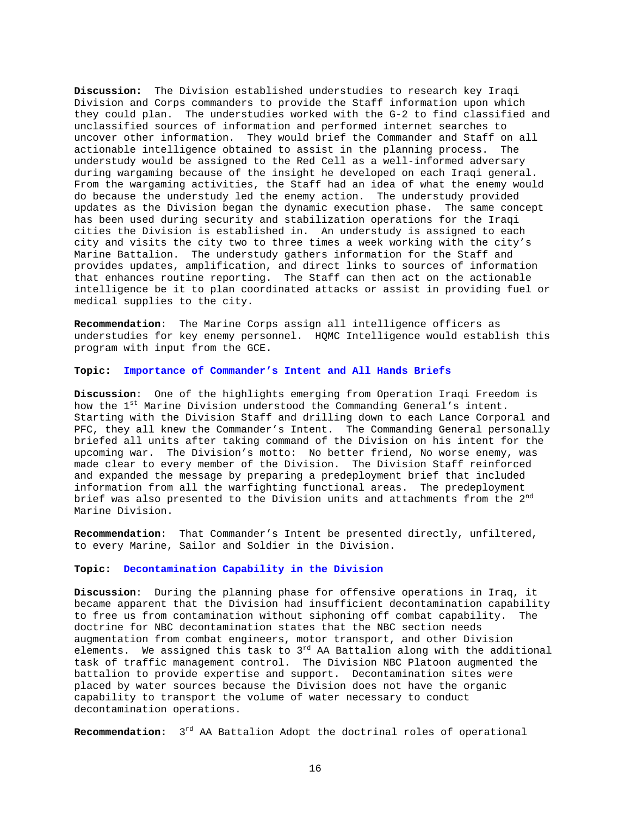**Discussion:** The Division established understudies to research key Iraqi Division and Corps commanders to provide the Staff information upon which they could plan. The understudies worked with the G-2 to find classified and unclassified sources of information and performed internet searches to uncover other information. They would brief the Commander and Staff on all actionable intelligence obtained to assist in the planning process. The understudy would be assigned to the Red Cell as a well-informed adversary during wargaming because of the insight he developed on each Iraqi general. From the wargaming activities, the Staff had an idea of what the enemy would do because the understudy led the enemy action. The understudy provided updates as the Division began the dynamic execution phase. The same concept has been used during security and stabilization operations for the Iraqi cities the Division is established in. An understudy is assigned to each city and visits the city two to three times a week working with the city's Marine Battalion. The understudy gathers information for the Staff and provides updates, amplification, and direct links to sources of information that enhances routine reporting. The Staff can then act on the actionable intelligence be it to plan coordinated attacks or assist in providing fuel or medical supplies to the city.

**Recommendation**: The Marine Corps assign all intelligence officers as understudies for key enemy personnel. HQMC Intelligence would establish this program with input from the GCE.

### **Topic: Importance of Commander's Intent and All Hands Briefs**

**Discussion**: One of the highlights emerging from Operation Iraqi Freedom is how the 1<sup>st</sup> Marine Division understood the Commanding General's intent. Starting with the Division Staff and drilling down to each Lance Corporal and PFC, they all knew the Commander's Intent. The Commanding General personally briefed all units after taking command of the Division on his intent for the upcoming war. The Division's motto: No better friend, No worse enemy, was made clear to every member of the Division. The Division Staff reinforced and expanded the message by preparing a predeployment brief that included information from all the warfighting functional areas. The predeployment brief was also presented to the Division units and attachments from the 2<sup>nd</sup> Marine Division.

**Recommendation**: That Commander's Intent be presented directly, unfiltered, to every Marine, Sailor and Soldier in the Division.

#### **Topic: Decontamination Capability in the Division**

**Discussion**: During the planning phase for offensive operations in Iraq, it became apparent that the Division had insufficient decontamination capability to free us from contamination without siphoning off combat capability. The doctrine for NBC decontamination states that the NBC section needs augmentation from combat engineers, motor transport, and other Division elements. We assigned this task to 3<sup>rd</sup> AA Battalion along with the additional task of traffic management control. The Division NBC Platoon augmented the battalion to provide expertise and support. Decontamination sites were placed by water sources because the Division does not have the organic capability to transport the volume of water necessary to conduct decontamination operations.

**Recommendation:** 3rd AA Battalion Adopt the doctrinal roles of operational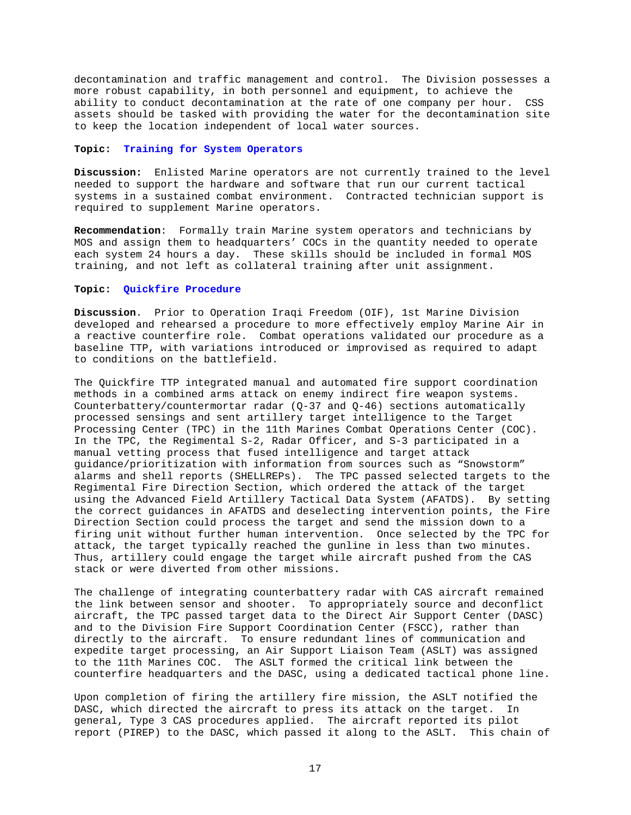decontamination and traffic management and control. The Division possesses a more robust capability, in both personnel and equipment, to achieve the ability to conduct decontamination at the rate of one company per hour. CSS assets should be tasked with providing the water for the decontamination site to keep the location independent of local water sources.

## **Topic: Training for System Operators**

**Discussion:** Enlisted Marine operators are not currently trained to the level needed to support the hardware and software that run our current tactical systems in a sustained combat environment. Contracted technician support is required to supplement Marine operators.

**Recommendation**: Formally train Marine system operators and technicians by MOS and assign them to headquarters' COCs in the quantity needed to operate each system 24 hours a day. These skills should be included in formal MOS training, and not left as collateral training after unit assignment.

## **Topic: Quickfire Procedure**

**Discussion**. Prior to Operation Iraqi Freedom (OIF), 1st Marine Division developed and rehearsed a procedure to more effectively employ Marine Air in a reactive counterfire role. Combat operations validated our procedure as a baseline TTP, with variations introduced or improvised as required to adapt to conditions on the battlefield.

The Quickfire TTP integrated manual and automated fire support coordination methods in a combined arms attack on enemy indirect fire weapon systems. Counterbattery/countermortar radar  $(Q-37$  and  $Q-46$ ) sections automatically processed sensings and sent artillery target intelligence to the Target Processing Center (TPC) in the 11th Marines Combat Operations Center (COC). In the TPC, the Regimental S-2, Radar Officer, and S-3 participated in a manual vetting process that fused intelligence and target attack guidance/prioritization with information from sources such as "Snowstorm" alarms and shell reports (SHELLREPs). The TPC passed selected targets to the Regimental Fire Direction Section, which ordered the attack of the target using the Advanced Field Artillery Tactical Data System (AFATDS). By setting the correct guidances in AFATDS and deselecting intervention points, the Fire Direction Section could process the target and send the mission down to a firing unit without further human intervention. Once selected by the TPC for attack, the target typically reached the gunline in less than two minutes. Thus, artillery could engage the target while aircraft pushed from the CAS stack or were diverted from other missions.

The challenge of integrating counterbattery radar with CAS aircraft remained the link between sensor and shooter. To appropriately source and deconflict aircraft, the TPC passed target data to the Direct Air Support Center (DASC) and to the Division Fire Support Coordination Center (FSCC), rather than directly to the aircraft. To ensure redundant lines of communication and expedite target processing, an Air Support Liaison Team (ASLT) was assigned to the 11th Marines COC. The ASLT formed the critical link between the counterfire headquarters and the DASC, using a dedicated tactical phone line.

Upon completion of firing the artillery fire mission, the ASLT notified the DASC, which directed the aircraft to press its attack on the target. In general, Type 3 CAS procedures applied. The aircraft reported its pilot report (PIREP) to the DASC, which passed it along to the ASLT. This chain of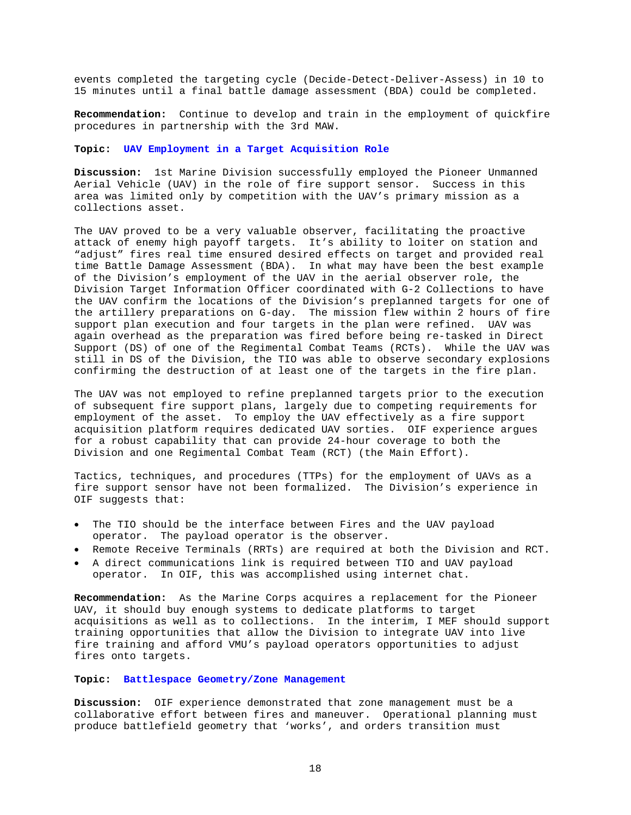events completed the targeting cycle (Decide-Detect-Deliver-Assess) in 10 to 15 minutes until a final battle damage assessment (BDA) could be completed.

**Recommendation:** Continue to develop and train in the employment of quickfire procedures in partnership with the 3rd MAW.

### **Topic: UAV Employment in a Target Acquisition Role**

**Discussion:** 1st Marine Division successfully employed the Pioneer Unmanned Aerial Vehicle (UAV) in the role of fire support sensor. Success in this area was limited only by competition with the UAV's primary mission as a collections asset.

The UAV proved to be a very valuable observer, facilitating the proactive attack of enemy high payoff targets. It's ability to loiter on station and "adjust" fires real time ensured desired effects on target and provided real time Battle Damage Assessment (BDA). In what may have been the best example of the Division's employment of the UAV in the aerial observer role, the Division Target Information Officer coordinated with G-2 Collections to have the UAV confirm the locations of the Division's preplanned targets for one of the artillery preparations on G-day. The mission flew within 2 hours of fire support plan execution and four targets in the plan were refined. UAV was again overhead as the preparation was fired before being re-tasked in Direct Support (DS) of one of the Regimental Combat Teams (RCTs). While the UAV was still in DS of the Division, the TIO was able to observe secondary explosions confirming the destruction of at least one of the targets in the fire plan.

The UAV was not employed to refine preplanned targets prior to the execution of subsequent fire support plans, largely due to competing requirements for employment of the asset. To employ the UAV effectively as a fire support acquisition platform requires dedicated UAV sorties. OIF experience argues for a robust capability that can provide 24-hour coverage to both the Division and one Regimental Combat Team (RCT) (the Main Effort).

Tactics, techniques, and procedures (TTPs) for the employment of UAVs as a fire support sensor have not been formalized. The Division's experience in OIF suggests that:

- The TIO should be the interface between Fires and the UAV payload operator. The payload operator is the observer.
- Remote Receive Terminals (RRTs) are required at both the Division and RCT.
- A direct communications link is required between TIO and UAV payload operator. In OIF, this was accomplished using internet chat.

**Recommendation:** As the Marine Corps acquires a replacement for the Pioneer UAV, it should buy enough systems to dedicate platforms to target acquisitions as well as to collections. In the interim, I MEF should support training opportunities that allow the Division to integrate UAV into live fire training and afford VMU's payload operators opportunities to adjust fires onto targets.

## **Topic: Battlespace Geometry/Zone Management**

**Discussion:** OIF experience demonstrated that zone management must be a collaborative effort between fires and maneuver. Operational planning must produce battlefield geometry that 'works', and orders transition must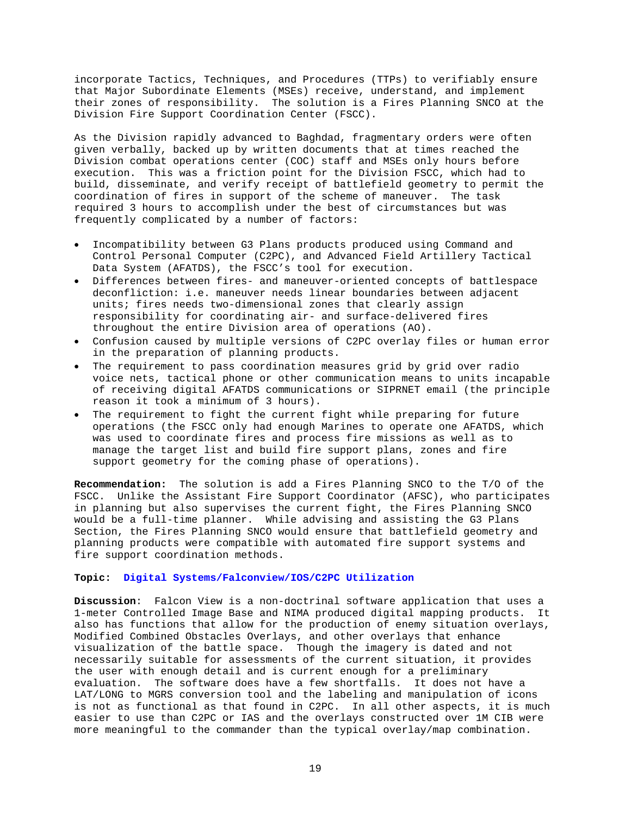incorporate Tactics, Techniques, and Procedures (TTPs) to verifiably ensure that Major Subordinate Elements (MSEs) receive, understand, and implement their zones of responsibility. The solution is a Fires Planning SNCO at the Division Fire Support Coordination Center (FSCC).

As the Division rapidly advanced to Baghdad, fragmentary orders were often given verbally, backed up by written documents that at times reached the Division combat operations center (COC) staff and MSEs only hours before execution. This was a friction point for the Division FSCC, which had to build, disseminate, and verify receipt of battlefield geometry to permit the coordination of fires in support of the scheme of maneuver. The task required 3 hours to accomplish under the best of circumstances but was frequently complicated by a number of factors:

- Incompatibility between G3 Plans products produced using Command and Control Personal Computer (C2PC), and Advanced Field Artillery Tactical Data System (AFATDS), the FSCC's tool for execution.
- Differences between fires- and maneuver-oriented concepts of battlespace deconfliction: i.e. maneuver needs linear boundaries between adjacent units; fires needs two-dimensional zones that clearly assign responsibility for coordinating air- and surface-delivered fires throughout the entire Division area of operations (AO).
- Confusion caused by multiple versions of C2PC overlay files or human error in the preparation of planning products.
- The requirement to pass coordination measures grid by grid over radio voice nets, tactical phone or other communication means to units incapable of receiving digital AFATDS communications or SIPRNET email (the principle reason it took a minimum of 3 hours).
- The requirement to fight the current fight while preparing for future operations (the FSCC only had enough Marines to operate one AFATDS, which was used to coordinate fires and process fire missions as well as to manage the target list and build fire support plans, zones and fire support geometry for the coming phase of operations).

**Recommendation:** The solution is add a Fires Planning SNCO to the T/O of the FSCC. Unlike the Assistant Fire Support Coordinator (AFSC), who participates in planning but also supervises the current fight, the Fires Planning SNCO would be a full-time planner. While advising and assisting the G3 Plans Section, the Fires Planning SNCO would ensure that battlefield geometry and planning products were compatible with automated fire support systems and fire support coordination methods.

## **Topic: Digital Systems/Falconview/IOS/C2PC Utilization**

**Discussion**: Falcon View is a non-doctrinal software application that uses a 1-meter Controlled Image Base and NIMA produced digital mapping products. It also has functions that allow for the production of enemy situation overlays, Modified Combined Obstacles Overlays, and other overlays that enhance visualization of the battle space. Though the imagery is dated and not necessarily suitable for assessments of the current situation, it provides the user with enough detail and is current enough for a preliminary evaluation. The software does have a few shortfalls. It does not have a LAT/LONG to MGRS conversion tool and the labeling and manipulation of icons is not as functional as that found in C2PC. In all other aspects, it is much easier to use than C2PC or IAS and the overlays constructed over 1M CIB were more meaningful to the commander than the typical overlay/map combination.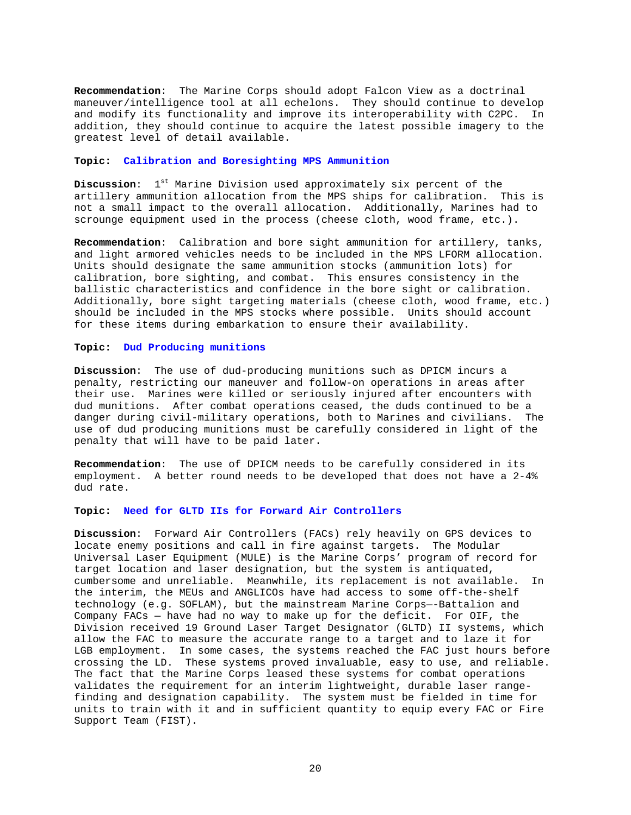**Recommendation**: The Marine Corps should adopt Falcon View as a doctrinal maneuver/intelligence tool at all echelons. They should continue to develop and modify its functionality and improve its interoperability with C2PC. In addition, they should continue to acquire the latest possible imagery to the greatest level of detail available.

### **Topic: Calibration and Boresighting MPS Ammunition**

**Discussion:** 1<sup>st</sup> Marine Division used approximately six percent of the artillery ammunition allocation from the MPS ships for calibration. This is not a small impact to the overall allocation. Additionally, Marines had to scrounge equipment used in the process (cheese cloth, wood frame, etc.).

**Recommendation**: Calibration and bore sight ammunition for artillery, tanks, and light armored vehicles needs to be included in the MPS LFORM allocation. Units should designate the same ammunition stocks (ammunition lots) for calibration, bore sighting, and combat. This ensures consistency in the ballistic characteristics and confidence in the bore sight or calibration. Additionally, bore sight targeting materials (cheese cloth, wood frame, etc.) should be included in the MPS stocks where possible. Units should account for these items during embarkation to ensure their availability.

#### **Topic: Dud Producing munitions**

**Discussion**: The use of dud-producing munitions such as DPICM incurs a penalty, restricting our maneuver and follow-on operations in areas after their use. Marines were killed or seriously injured after encounters with dud munitions. After combat operations ceased, the duds continued to be a danger during civil-military operations, both to Marines and civilians. The use of dud producing munitions must be carefully considered in light of the penalty that will have to be paid later.

**Recommendation**: The use of DPICM needs to be carefully considered in its employment. A better round needs to be developed that does not have a 2-4% dud rate.

**Topic: Need for GLTD IIs for Forward Air Controllers**

**Discussion**: Forward Air Controllers (FACs) rely heavily on GPS devices to locate enemy positions and call in fire against targets. The Modular Universal Laser Equipment (MULE) is the Marine Corps' program of record for target location and laser designation, but the system is antiquated, cumbersome and unreliable. Meanwhile, its replacement is not available. In the interim, the MEUs and ANGLICOs have had access to some off-the-shelf technology (e.g. SOFLAM), but the mainstream Marine Corps—-Battalion and Company FACs — have had no way to make up for the deficit. For OIF, the Division received 19 Ground Laser Target Designator (GLTD) II systems, which allow the FAC to measure the accurate range to a target and to laze it for LGB employment. In some cases, the systems reached the FAC just hours before crossing the LD. These systems proved invaluable, easy to use, and reliable. The fact that the Marine Corps leased these systems for combat operations validates the requirement for an interim lightweight, durable laser rangefinding and designation capability. The system must be fielded in time for units to train with it and in sufficient quantity to equip every FAC or Fire Support Team (FIST).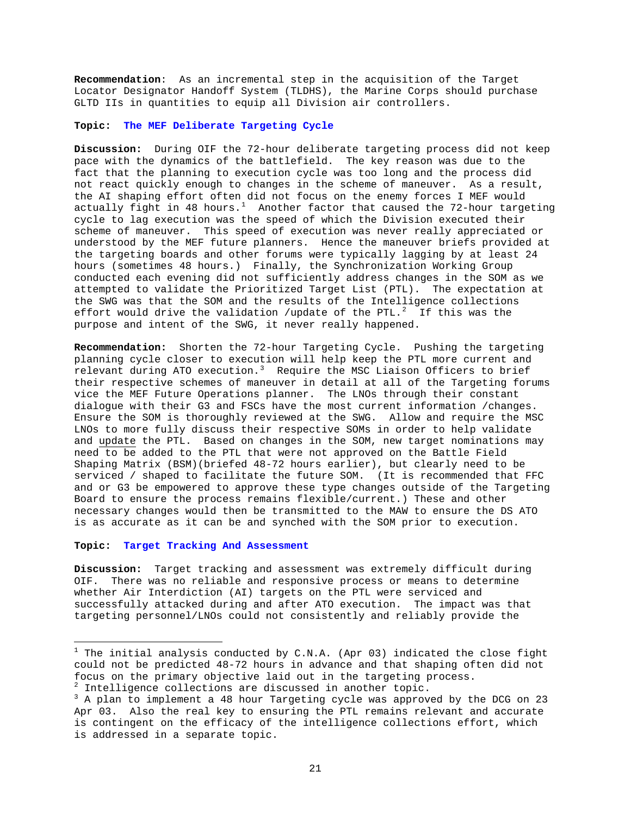**Recommendation**: As an incremental step in the acquisition of the Target Locator Designator Handoff System (TLDHS), the Marine Corps should purchase GLTD IIs in quantities to equip all Division air controllers.

## **Topic: The MEF Deliberate Targeting Cycle**

**Discussion:** During OIF the 72-hour deliberate targeting process did not keep pace with the dynamics of the battlefield. The key reason was due to the fact that the planning to execution cycle was too long and the process did not react quickly enough to changes in the scheme of maneuver. As a result, the AI shaping effort often did not focus on the enemy forces I MEF would actually fight in 48 hours.<sup>[1](#page-20-0)</sup> Another factor that caused the 72-hour targeting cycle to lag execution was the speed of which the Division executed their scheme of maneuver. This speed of execution was never really appreciated or understood by the MEF future planners. Hence the maneuver briefs provided at the targeting boards and other forums were typically lagging by at least 24 hours (sometimes 48 hours.) Finally, the Synchronization Working Group conducted each evening did not sufficiently address changes in the SOM as we attempted to validate the Prioritized Target List (PTL). The expectation at the SWG was that the SOM and the results of the Intelligence collections effort would drive the validation /update of the PTL. $^2$  $^2$  If this was the purpose and intent of the SWG, it never really happened.

**Recommendation:** Shorten the 72-hour Targeting Cycle. Pushing the targeting planning cycle closer to execution will help keep the PTL more current and relevant during ATO execution.<sup>[3](#page-20-2)</sup> Require the MSC Liaison Officers to brief their respective schemes of maneuver in detail at all of the Targeting forums vice the MEF Future Operations planner. The LNOs through their constant dialogue with their G3 and FSCs have the most current information /changes. Ensure the SOM is thoroughly reviewed at the SWG. Allow and require the MSC LNOs to more fully discuss their respective SOMs in order to help validate and update the PTL. Based on changes in the SOM, new target nominations may need to be added to the PTL that were not approved on the Battle Field Shaping Matrix (BSM)(briefed 48-72 hours earlier), but clearly need to be serviced / shaped to facilitate the future SOM. (It is recommended that FFC and or G3 be empowered to approve these type changes outside of the Targeting Board to ensure the process remains flexible/current.) These and other necessary changes would then be transmitted to the MAW to ensure the DS ATO is as accurate as it can be and synched with the SOM prior to execution.

#### **Topic: Target Tracking And Assessment**

 $\overline{a}$ 

**Discussion:** Target tracking and assessment was extremely difficult during OIF. There was no reliable and responsive process or means to determine whether Air Interdiction (AI) targets on the PTL were serviced and successfully attacked during and after ATO execution. The impact was that targeting personnel/LNOs could not consistently and reliably provide the

<span id="page-20-0"></span> $^1$  The initial analysis conducted by C.N.A. (Apr 03) indicated the close fight could not be predicted 48-72 hours in advance and that shaping often did not focus on the primary objective laid out in the targeting process.  $^2$  Intelligence collections are discussed in another topic.

<span id="page-20-2"></span><span id="page-20-1"></span><sup>&</sup>lt;sup>3</sup> A plan to implement a 48 hour Targeting cycle was approved by the DCG on 23 Apr 03. Also the real key to ensuring the PTL remains relevant and accurate is contingent on the efficacy of the intelligence collections effort, which is addressed in a separate topic.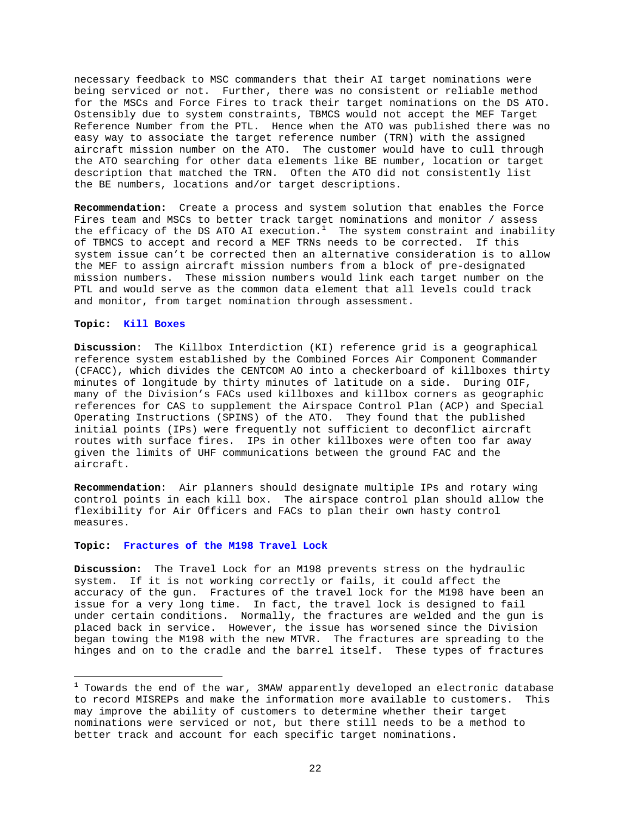necessary feedback to MSC commanders that their AI target nominations were being serviced or not. Further, there was no consistent or reliable method for the MSCs and Force Fires to track their target nominations on the DS ATO. Ostensibly due to system constraints, TBMCS would not accept the MEF Target Reference Number from the PTL. Hence when the ATO was published there was no easy way to associate the target reference number (TRN) with the assigned aircraft mission number on the ATO. The customer would have to cull through the ATO searching for other data elements like BE number, location or target description that matched the TRN. Often the ATO did not consistently list the BE numbers, locations and/or target descriptions.

**Recommendation:** Create a process and system solution that enables the Force Fires team and MSCs to better track target nominations and monitor / assess the efficacy of the DS ATO AI execution.<sup>[1](#page-21-0)</sup> The system constraint and inability of TBMCS to accept and record a MEF TRNs needs to be corrected. If this system issue can't be corrected then an alternative consideration is to allow the MEF to assign aircraft mission numbers from a block of pre-designated mission numbers. These mission numbers would link each target number on the PTL and would serve as the common data element that all levels could track and monitor, from target nomination through assessment.

## **Topic: Kill Boxes**

 $\overline{a}$ 

**Discussion**: The Killbox Interdiction (KI) reference grid is a geographical reference system established by the Combined Forces Air Component Commander (CFACC), which divides the CENTCOM AO into a checkerboard of killboxes thirty minutes of longitude by thirty minutes of latitude on a side. During OIF, many of the Division's FACs used killboxes and killbox corners as geographic references for CAS to supplement the Airspace Control Plan (ACP) and Special Operating Instructions (SPINS) of the ATO. They found that the published initial points (IPs) were frequently not sufficient to deconflict aircraft routes with surface fires. IPs in other killboxes were often too far away given the limits of UHF communications between the ground FAC and the aircraft.

**Recommendation**: Air planners should designate multiple IPs and rotary wing control points in each kill box. The airspace control plan should allow the flexibility for Air Officers and FACs to plan their own hasty control measures.

#### **Topic: Fractures of the M198 Travel Lock**

**Discussion:** The Travel Lock for an M198 prevents stress on the hydraulic system. If it is not working correctly or fails, it could affect the accuracy of the gun. Fractures of the travel lock for the M198 have been an issue for a very long time. In fact, the travel lock is designed to fail under certain conditions. Normally, the fractures are welded and the gun is placed back in service. However, the issue has worsened since the Division began towing the M198 with the new MTVR. The fractures are spreading to the hinges and on to the cradle and the barrel itself. These types of fractures

<span id="page-21-0"></span> $^{\rm 1}$  Towards the end of the war, 3MAW apparently developed an electronic database to record MISREPs and make the information more available to customers. This may improve the ability of customers to determine whether their target nominations were serviced or not, but there still needs to be a method to better track and account for each specific target nominations.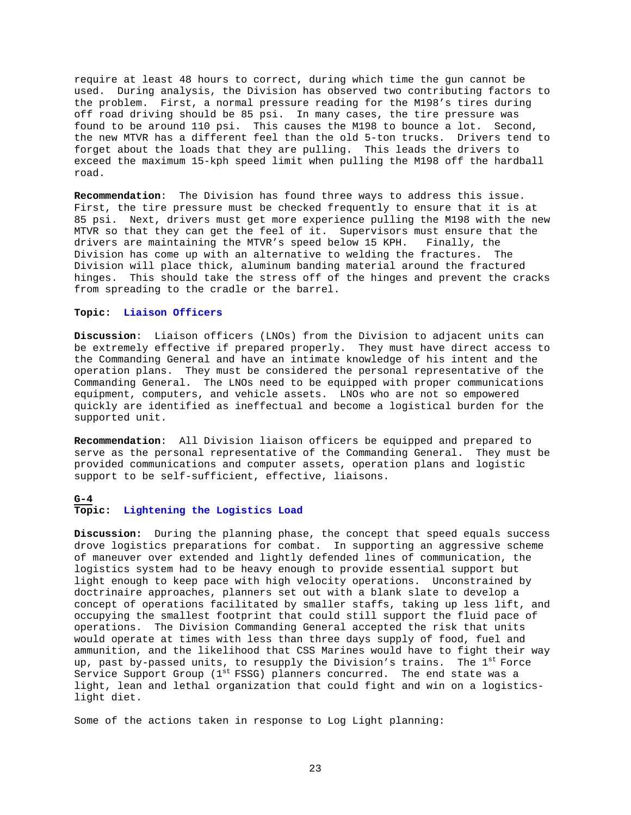require at least 48 hours to correct, during which time the gun cannot be used. During analysis, the Division has observed two contributing factors to the problem. First, a normal pressure reading for the M198's tires during off road driving should be 85 psi. In many cases, the tire pressure was found to be around 110 psi. This causes the M198 to bounce a lot. Second, the new MTVR has a different feel than the old 5-ton trucks. Drivers tend to forget about the loads that they are pulling. This leads the drivers to exceed the maximum 15-kph speed limit when pulling the M198 off the hardball road.

**Recommendation**: The Division has found three ways to address this issue. First, the tire pressure must be checked frequently to ensure that it is at 85 psi. Next, drivers must get more experience pulling the M198 with the new MTVR so that they can get the feel of it. Supervisors must ensure that the drivers are maintaining the MTVR's speed below 15 KPH. Finally, the Division has come up with an alternative to welding the fractures. The Division will place thick, aluminum banding material around the fractured hinges. This should take the stress off of the hinges and prevent the cracks from spreading to the cradle or the barrel.

## **Topic: Liaison Officers**

**Discussion**: Liaison officers (LNOs) from the Division to adjacent units can be extremely effective if prepared properly. They must have direct access to the Commanding General and have an intimate knowledge of his intent and the operation plans. They must be considered the personal representative of the Commanding General. The LNOs need to be equipped with proper communications equipment, computers, and vehicle assets. LNOs who are not so empowered quickly are identified as ineffectual and become a logistical burden for the supported unit.

**Recommendation**: All Division liaison officers be equipped and prepared to serve as the personal representative of the Commanding General. They must be provided communications and computer assets, operation plans and logistic support to be self-sufficient, effective, liaisons.

#### **G-4**

## **Topic: Lightening the Logistics Load**

**Discussion:** During the planning phase, the concept that speed equals success drove logistics preparations for combat. In supporting an aggressive scheme of maneuver over extended and lightly defended lines of communication, the logistics system had to be heavy enough to provide essential support but light enough to keep pace with high velocity operations. Unconstrained by doctrinaire approaches, planners set out with a blank slate to develop a concept of operations facilitated by smaller staffs, taking up less lift, and occupying the smallest footprint that could still support the fluid pace of operations. The Division Commanding General accepted the risk that units would operate at times with less than three days supply of food, fuel and ammunition, and the likelihood that CSS Marines would have to fight their way up, past by-passed units, to resupply the Division's trains. The  $1^{st}$  Force Service Support Group (1st FSSG) planners concurred. The end state was a light, lean and lethal organization that could fight and win on a logisticslight diet.

Some of the actions taken in response to Log Light planning: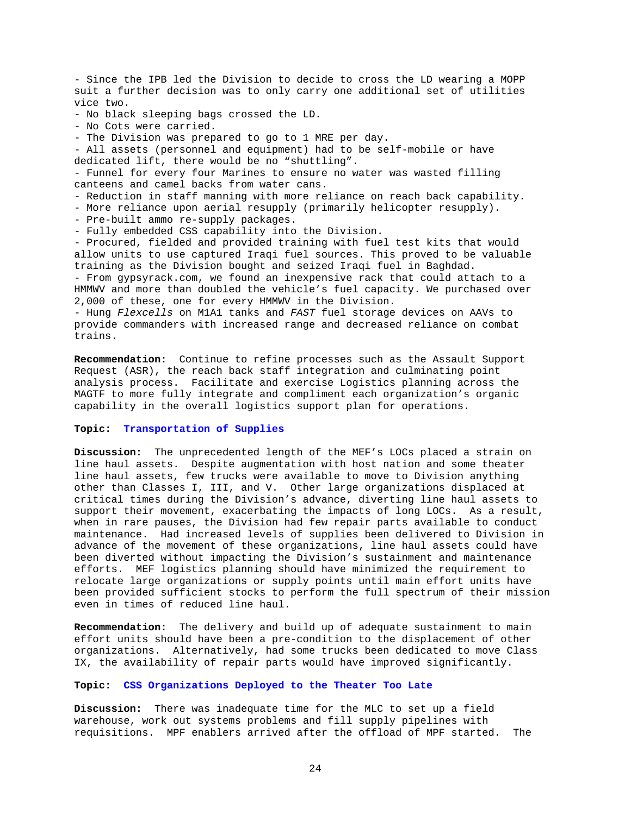- Since the IPB led the Division to decide to cross the LD wearing a MOPP suit a further decision was to only carry one additional set of utilities vice two. - No black sleeping bags crossed the LD. - No Cots were carried. - The Division was prepared to go to 1 MRE per day. - All assets (personnel and equipment) had to be self-mobile or have dedicated lift, there would be no "shuttling". - Funnel for every four Marines to ensure no water was wasted filling canteens and camel backs from water cans. - Reduction in staff manning with more reliance on reach back capability. - More reliance upon aerial resupply (primarily helicopter resupply). - Pre-built ammo re-supply packages. - Fully embedded CSS capability into the Division. - Procured, fielded and provided training with fuel test kits that would allow units to use captured Iraqi fuel sources. This proved to be valuable training as the Division bought and seized Iraqi fuel in Baghdad. - From gypsyrack.com, we found an inexpensive rack that could attach to a HMMWV and more than doubled the vehicle's fuel capacity. We purchased over 2,000 of these, one for every HMMWV in the Division. - Hung *Flexcells* on M1A1 tanks and *FAST* fuel storage devices on AAVs to

provide commanders with increased range and decreased reliance on combat trains.

**Recommendation:** Continue to refine processes such as the Assault Support Request (ASR), the reach back staff integration and culminating point analysis process. Facilitate and exercise Logistics planning across the MAGTF to more fully integrate and compliment each organization's organic capability in the overall logistics support plan for operations.

## **Topic: Transportation of Supplies**

**Discussion:** The unprecedented length of the MEF's LOCs placed a strain on line haul assets. Despite augmentation with host nation and some theater line haul assets, few trucks were available to move to Division anything other than Classes I, III, and V. Other large organizations displaced at critical times during the Division's advance, diverting line haul assets to support their movement, exacerbating the impacts of long LOCs. As a result, when in rare pauses, the Division had few repair parts available to conduct maintenance. Had increased levels of supplies been delivered to Division in advance of the movement of these organizations, line haul assets could have been diverted without impacting the Division's sustainment and maintenance efforts. MEF logistics planning should have minimized the requirement to relocate large organizations or supply points until main effort units have been provided sufficient stocks to perform the full spectrum of their mission even in times of reduced line haul.

**Recommendation:** The delivery and build up of adequate sustainment to main effort units should have been a pre-condition to the displacement of other organizations. Alternatively, had some trucks been dedicated to move Class IX, the availability of repair parts would have improved significantly.

#### **Topic: CSS Organizations Deployed to the Theater Too Late**

**Discussion:** There was inadequate time for the MLC to set up a field warehouse, work out systems problems and fill supply pipelines with requisitions. MPF enablers arrived after the offload of MPF started. The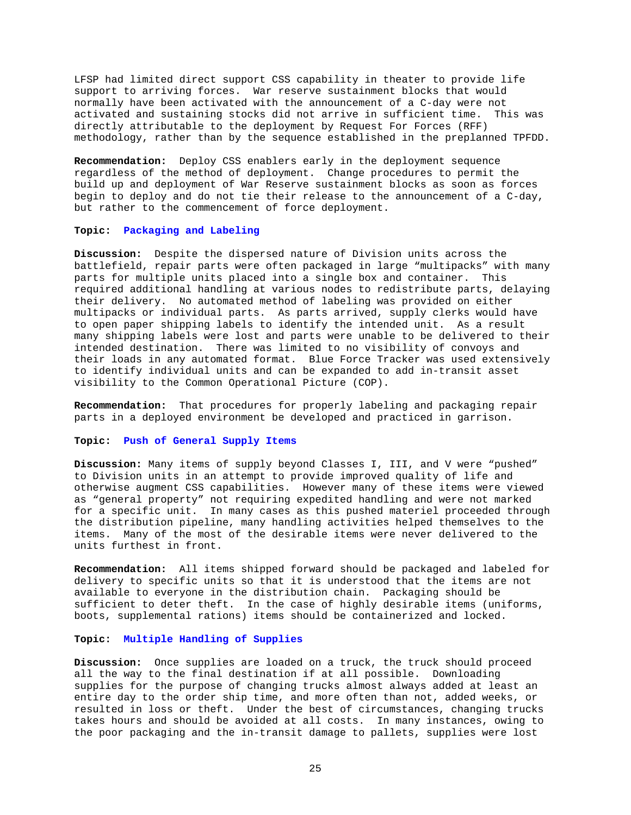LFSP had limited direct support CSS capability in theater to provide life support to arriving forces. War reserve sustainment blocks that would normally have been activated with the announcement of a C-day were not activated and sustaining stocks did not arrive in sufficient time. This was directly attributable to the deployment by Request For Forces (RFF) methodology, rather than by the sequence established in the preplanned TPFDD.

**Recommendation:** Deploy CSS enablers early in the deployment sequence regardless of the method of deployment. Change procedures to permit the build up and deployment of War Reserve sustainment blocks as soon as forces begin to deploy and do not tie their release to the announcement of a C-day, but rather to the commencement of force deployment.

## **Topic: Packaging and Labeling**

**Discussion:** Despite the dispersed nature of Division units across the battlefield, repair parts were often packaged in large "multipacks" with many parts for multiple units placed into a single box and container. This required additional handling at various nodes to redistribute parts, delaying their delivery. No automated method of labeling was provided on either multipacks or individual parts. As parts arrived, supply clerks would have to open paper shipping labels to identify the intended unit. As a result many shipping labels were lost and parts were unable to be delivered to their intended destination. There was limited to no visibility of convoys and their loads in any automated format. Blue Force Tracker was used extensively to identify individual units and can be expanded to add in-transit asset visibility to the Common Operational Picture (COP).

**Recommendation:** That procedures for properly labeling and packaging repair parts in a deployed environment be developed and practiced in garrison.

## **Topic: Push of General Supply Items**

**Discussion:** Many items of supply beyond Classes I, III, and V were "pushed" to Division units in an attempt to provide improved quality of life and otherwise augment CSS capabilities. However many of these items were viewed as "general property" not requiring expedited handling and were not marked for a specific unit. In many cases as this pushed materiel proceeded through the distribution pipeline, many handling activities helped themselves to the items. Many of the most of the desirable items were never delivered to the units furthest in front.

**Recommendation:** All items shipped forward should be packaged and labeled for delivery to specific units so that it is understood that the items are not available to everyone in the distribution chain. Packaging should be sufficient to deter theft. In the case of highly desirable items (uniforms, boots, supplemental rations) items should be containerized and locked.

## **Topic: Multiple Handling of Supplies**

**Discussion:** Once supplies are loaded on a truck, the truck should proceed all the way to the final destination if at all possible. Downloading supplies for the purpose of changing trucks almost always added at least an entire day to the order ship time, and more often than not, added weeks, or resulted in loss or theft. Under the best of circumstances, changing trucks takes hours and should be avoided at all costs. In many instances, owing to the poor packaging and the in-transit damage to pallets, supplies were lost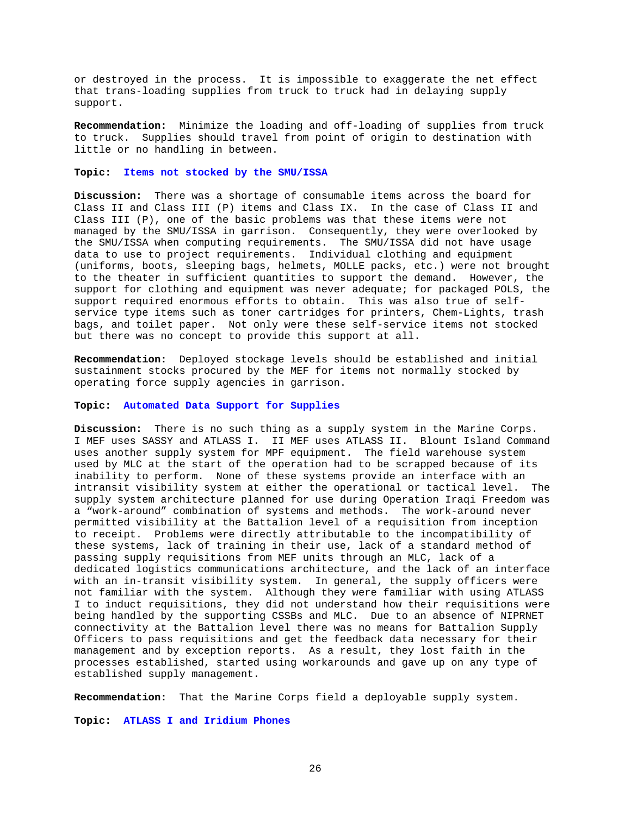or destroyed in the process. It is impossible to exaggerate the net effect that trans-loading supplies from truck to truck had in delaying supply support.

**Recommendation:** Minimize the loading and off-loading of supplies from truck to truck. Supplies should travel from point of origin to destination with little or no handling in between.

#### **Topic: Items not stocked by the SMU/ISSA**

**Discussion:** There was a shortage of consumable items across the board for Class II and Class III (P) items and Class IX. In the case of Class II and Class III (P), one of the basic problems was that these items were not managed by the SMU/ISSA in garrison. Consequently, they were overlooked by the SMU/ISSA when computing requirements. The SMU/ISSA did not have usage data to use to project requirements. Individual clothing and equipment (uniforms, boots, sleeping bags, helmets, MOLLE packs, etc.) were not brought to the theater in sufficient quantities to support the demand. However, the support for clothing and equipment was never adequate; for packaged POLS, the support required enormous efforts to obtain. This was also true of selfservice type items such as toner cartridges for printers, Chem-Lights, trash bags, and toilet paper. Not only were these self-service items not stocked but there was no concept to provide this support at all.

**Recommendation:** Deployed stockage levels should be established and initial sustainment stocks procured by the MEF for items not normally stocked by operating force supply agencies in garrison.

### **Topic: Automated Data Support for Supplies**

**Discussion:** There is no such thing as a supply system in the Marine Corps. I MEF uses SASSY and ATLASS I. II MEF uses ATLASS II. Blount Island Command uses another supply system for MPF equipment. The field warehouse system used by MLC at the start of the operation had to be scrapped because of its inability to perform. None of these systems provide an interface with an intransit visibility system at either the operational or tactical level. The supply system architecture planned for use during Operation Iraqi Freedom was a "work-around" combination of systems and methods. The work-around never permitted visibility at the Battalion level of a requisition from inception to receipt. Problems were directly attributable to the incompatibility of these systems, lack of training in their use, lack of a standard method of passing supply requisitions from MEF units through an MLC, lack of a dedicated logistics communications architecture, and the lack of an interface with an in-transit visibility system. In general, the supply officers were not familiar with the system. Although they were familiar with using ATLASS I to induct requisitions, they did not understand how their requisitions were being handled by the supporting CSSBs and MLC. Due to an absence of NIPRNET connectivity at the Battalion level there was no means for Battalion Supply Officers to pass requisitions and get the feedback data necessary for their management and by exception reports. As a result, they lost faith in the processes established, started using workarounds and gave up on any type of established supply management.

**Recommendation:** That the Marine Corps field a deployable supply system.

**Topic: ATLASS I and Iridium Phones**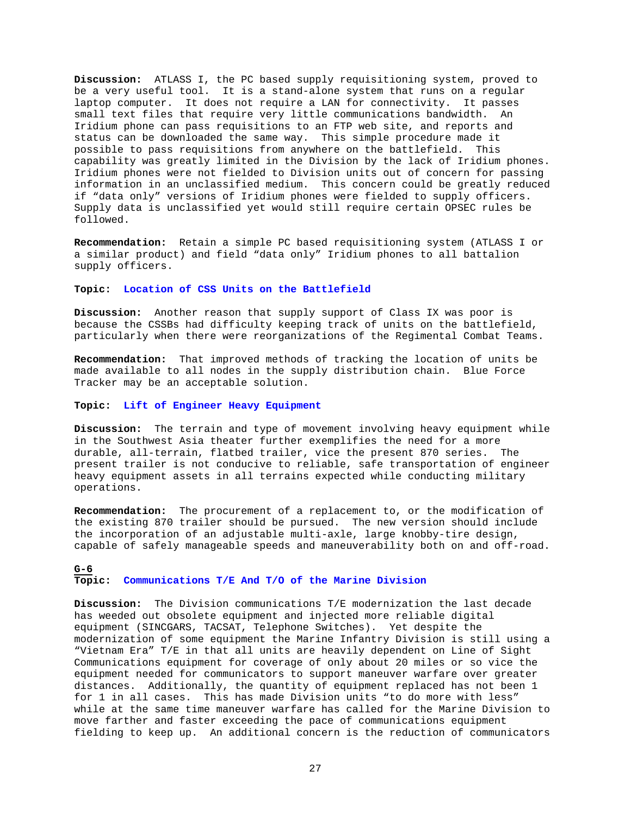**Discussion:** ATLASS I, the PC based supply requisitioning system, proved to be a very useful tool. It is a stand-alone system that runs on a regular laptop computer. It does not require a LAN for connectivity. It passes small text files that require very little communications bandwidth. An Iridium phone can pass requisitions to an FTP web site, and reports and status can be downloaded the same way. This simple procedure made it possible to pass requisitions from anywhere on the battlefield. This capability was greatly limited in the Division by the lack of Iridium phones. Iridium phones were not fielded to Division units out of concern for passing information in an unclassified medium. This concern could be greatly reduced if "data only" versions of Iridium phones were fielded to supply officers. Supply data is unclassified yet would still require certain OPSEC rules be followed.

**Recommendation:** Retain a simple PC based requisitioning system (ATLASS I or a similar product) and field "data only" Iridium phones to all battalion supply officers.

### **Topic: Location of CSS Units on the Battlefield**

**Discussion:** Another reason that supply support of Class IX was poor is because the CSSBs had difficulty keeping track of units on the battlefield, particularly when there were reorganizations of the Regimental Combat Teams.

**Recommendation:** That improved methods of tracking the location of units be made available to all nodes in the supply distribution chain. Blue Force Tracker may be an acceptable solution.

### **Topic: Lift of Engineer Heavy Equipment**

**Discussion:** The terrain and type of movement involving heavy equipment while in the Southwest Asia theater further exemplifies the need for a more durable, all-terrain, flatbed trailer, vice the present 870 series. The present trailer is not conducive to reliable, safe transportation of engineer heavy equipment assets in all terrains expected while conducting military operations.

**Recommendation:** The procurement of a replacement to, or the modification of the existing 870 trailer should be pursued. The new version should include the incorporation of an adjustable multi-axle, large knobby-tire design, capable of safely manageable speeds and maneuverability both on and off-road.

### **G-6 Topic: Communications T/E And T/O of the Marine Division**

**Discussion:** The Division communications T/E modernization the last decade has weeded out obsolete equipment and injected more reliable digital equipment (SINCGARS, TACSAT, Telephone Switches). Yet despite the modernization of some equipment the Marine Infantry Division is still using a "Vietnam Era" T/E in that all units are heavily dependent on Line of Sight Communications equipment for coverage of only about 20 miles or so vice the equipment needed for communicators to support maneuver warfare over greater distances. Additionally, the quantity of equipment replaced has not been 1 for 1 in all cases. This has made Division units "to do more with less" while at the same time maneuver warfare has called for the Marine Division to move farther and faster exceeding the pace of communications equipment fielding to keep up. An additional concern is the reduction of communicators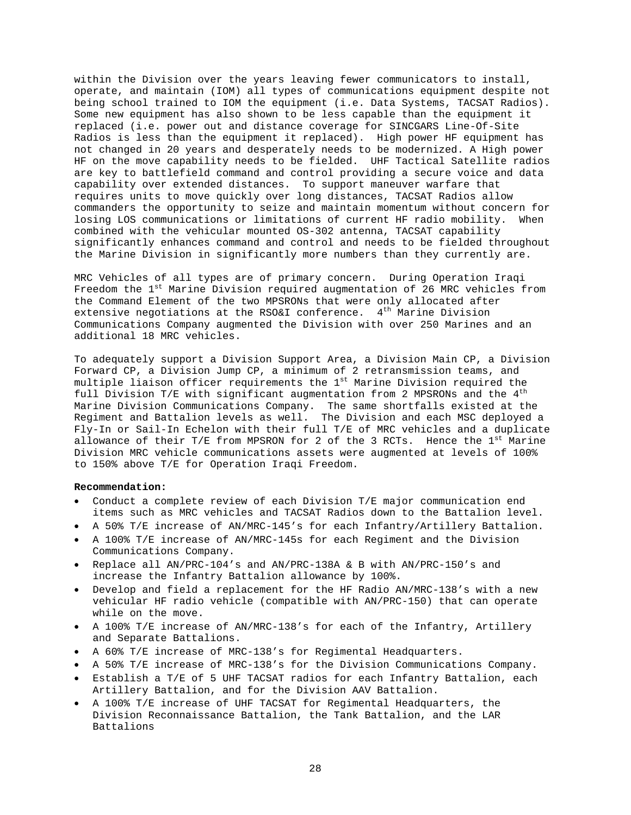within the Division over the years leaving fewer communicators to install, operate, and maintain (IOM) all types of communications equipment despite not being school trained to IOM the equipment (i.e. Data Systems, TACSAT Radios). Some new equipment has also shown to be less capable than the equipment it replaced (i.e. power out and distance coverage for SINCGARS Line-Of-Site Radios is less than the equipment it replaced). High power HF equipment has not changed in 20 years and desperately needs to be modernized. A High power HF on the move capability needs to be fielded. UHF Tactical Satellite radios are key to battlefield command and control providing a secure voice and data capability over extended distances. To support maneuver warfare that requires units to move quickly over long distances, TACSAT Radios allow commanders the opportunity to seize and maintain momentum without concern for losing LOS communications or limitations of current HF radio mobility. When combined with the vehicular mounted OS-302 antenna, TACSAT capability significantly enhances command and control and needs to be fielded throughout the Marine Division in significantly more numbers than they currently are.

MRC Vehicles of all types are of primary concern. During Operation Iraqi Freedom the 1<sup>st</sup> Marine Division required augmentation of 26 MRC vehicles from the Command Element of the two MPSRONs that were only allocated after extensive negotiations at the RSO&I conference.  $4^{\text{th}}$  Marine Division Communications Company augmented the Division with over 250 Marines and an additional 18 MRC vehicles.

To adequately support a Division Support Area, a Division Main CP, a Division Forward CP, a Division Jump CP, a minimum of 2 retransmission teams, and multiple liaison officer requirements the 1<sup>st</sup> Marine Division required the full Division T/E with significant augmentation from 2 MPSRONs and the  $4<sup>th</sup>$ Marine Division Communications Company. The same shortfalls existed at the Regiment and Battalion levels as well. The Division and each MSC deployed a Fly-In or Sail-In Echelon with their full T/E of MRC vehicles and a duplicate allowance of their T/E from MPSRON for 2 of the 3 RCTs. Hence the  $1<sup>st</sup>$  Marine Division MRC vehicle communications assets were augmented at levels of 100% to 150% above T/E for Operation Iraqi Freedom.

## **Recommendation:**

- Conduct a complete review of each Division T/E major communication end items such as MRC vehicles and TACSAT Radios down to the Battalion level.
- A 50% T/E increase of AN/MRC-145's for each Infantry/Artillery Battalion.
- A 100% T/E increase of AN/MRC-145s for each Regiment and the Division Communications Company.
- Replace all AN/PRC-104's and AN/PRC-138A & B with AN/PRC-150's and increase the Infantry Battalion allowance by 100%.
- Develop and field a replacement for the HF Radio AN/MRC-138's with a new vehicular HF radio vehicle (compatible with AN/PRC-150) that can operate while on the move.
- A 100% T/E increase of AN/MRC-138's for each of the Infantry, Artillery and Separate Battalions.
- A 60% T/E increase of MRC-138's for Regimental Headquarters.
- A 50% T/E increase of MRC-138's for the Division Communications Company.
- Establish a T/E of 5 UHF TACSAT radios for each Infantry Battalion, each Artillery Battalion, and for the Division AAV Battalion.
- A 100% T/E increase of UHF TACSAT for Regimental Headquarters, the Division Reconnaissance Battalion, the Tank Battalion, and the LAR Battalions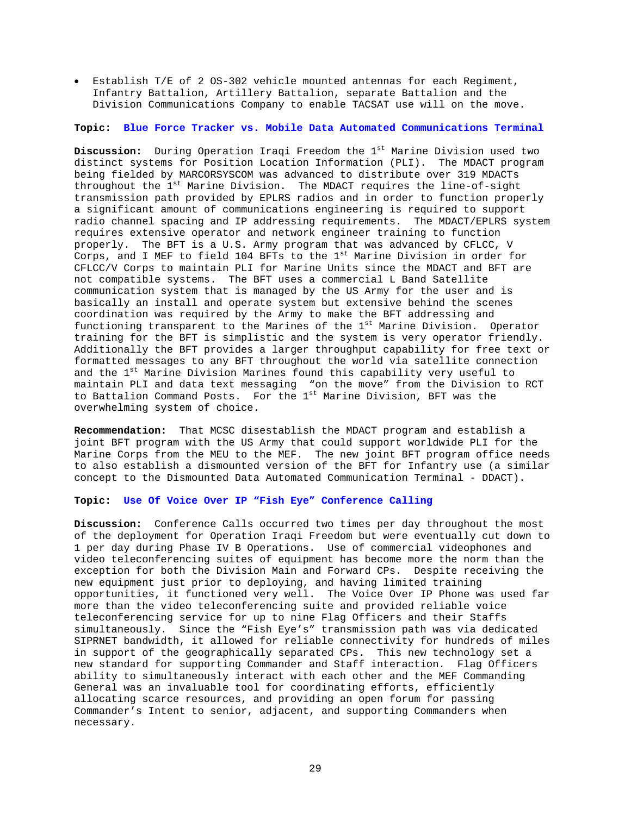• Establish T/E of 2 OS-302 vehicle mounted antennas for each Regiment, Infantry Battalion, Artillery Battalion, separate Battalion and the Division Communications Company to enable TACSAT use will on the move.

## **Topic: Blue Force Tracker vs. Mobile Data Automated Communications Terminal**

**Discussion:** During Operation Iraqi Freedom the 1<sup>st</sup> Marine Division used two distinct systems for Position Location Information (PLI). The MDACT program being fielded by MARCORSYSCOM was advanced to distribute over 319 MDACTs throughout the 1<sup>st</sup> Marine Division. The MDACT requires the line-of-sight transmission path provided by EPLRS radios and in order to function properly a significant amount of communications engineering is required to support radio channel spacing and IP addressing requirements. The MDACT/EPLRS system requires extensive operator and network engineer training to function properly. The BFT is a U.S. Army program that was advanced by CFLCC, V Corps, and I MEF to field 104 BFTs to the  $1<sup>st</sup>$  Marine Division in order for CFLCC/V Corps to maintain PLI for Marine Units since the MDACT and BFT are not compatible systems. The BFT uses a commercial L Band Satellite communication system that is managed by the US Army for the user and is basically an install and operate system but extensive behind the scenes coordination was required by the Army to make the BFT addressing and functioning transparent to the Marines of the 1<sup>st</sup> Marine Division. Operator training for the BFT is simplistic and the system is very operator friendly. Additionally the BFT provides a larger throughput capability for free text or formatted messages to any BFT throughout the world via satellite connection and the 1<sup>st</sup> Marine Division Marines found this capability very useful to maintain PLI and data text messaging "on the move" from the Division to RCT to Battalion Command Posts. For the 1<sup>st</sup> Marine Division, BFT was the overwhelming system of choice.

**Recommendation:** That MCSC disestablish the MDACT program and establish a joint BFT program with the US Army that could support worldwide PLI for the Marine Corps from the MEU to the MEF. The new joint BFT program office needs to also establish a dismounted version of the BFT for Infantry use (a similar concept to the Dismounted Data Automated Communication Terminal - DDACT).

### **Topic: Use Of Voice Over IP "Fish Eye" Conference Calling**

**Discussion:** Conference Calls occurred two times per day throughout the most of the deployment for Operation Iraqi Freedom but were eventually cut down to 1 per day during Phase IV B Operations. Use of commercial videophones and video teleconferencing suites of equipment has become more the norm than the exception for both the Division Main and Forward CPs. Despite receiving the new equipment just prior to deploying, and having limited training opportunities, it functioned very well. The Voice Over IP Phone was used far more than the video teleconferencing suite and provided reliable voice teleconferencing service for up to nine Flag Officers and their Staffs simultaneously. Since the "Fish Eye's" transmission path was via dedicated SIPRNET bandwidth, it allowed for reliable connectivity for hundreds of miles in support of the geographically separated CPs. This new technology set a new standard for supporting Commander and Staff interaction. Flag Officers ability to simultaneously interact with each other and the MEF Commanding General was an invaluable tool for coordinating efforts, efficiently allocating scarce resources, and providing an open forum for passing Commander's Intent to senior, adjacent, and supporting Commanders when necessary.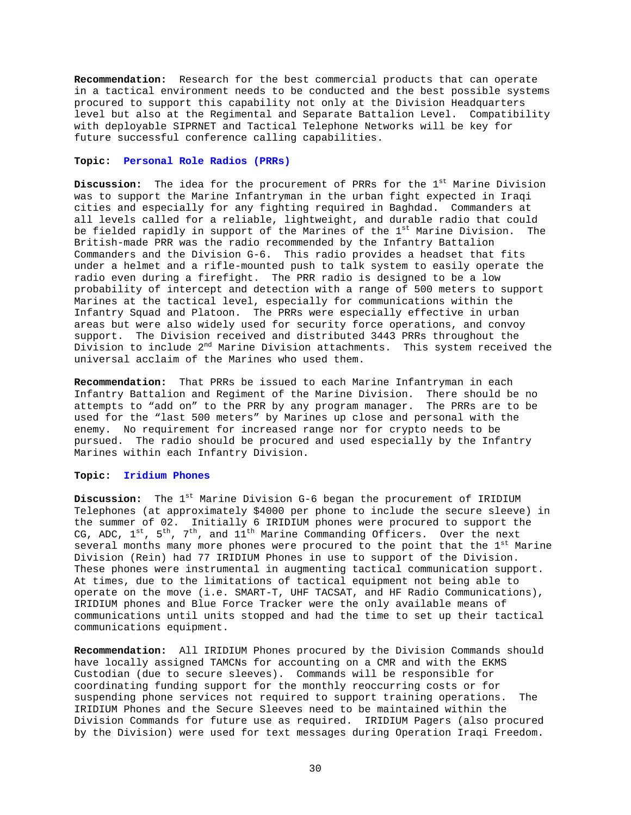**Recommendation:** Research for the best commercial products that can operate in a tactical environment needs to be conducted and the best possible systems procured to support this capability not only at the Division Headquarters level but also at the Regimental and Separate Battalion Level. Compatibility with deployable SIPRNET and Tactical Telephone Networks will be key for future successful conference calling capabilities.

## **Topic: Personal Role Radios (PRRs)**

**Discussion:** The idea for the procurement of PRRs for the 1<sup>st</sup> Marine Division was to support the Marine Infantryman in the urban fight expected in Iraqi cities and especially for any fighting required in Baghdad. Commanders at all levels called for a reliable, lightweight, and durable radio that could be fielded rapidly in support of the Marines of the 1<sup>st</sup> Marine Division. The British-made PRR was the radio recommended by the Infantry Battalion Commanders and the Division G-6. This radio provides a headset that fits under a helmet and a rifle-mounted push to talk system to easily operate the radio even during a firefight. The PRR radio is designed to be a low probability of intercept and detection with a range of 500 meters to support Marines at the tactical level, especially for communications within the Infantry Squad and Platoon. The PRRs were especially effective in urban areas but were also widely used for security force operations, and convoy support. The Division received and distributed 3443 PRRs throughout the Division to include 2nd Marine Division attachments. This system received the universal acclaim of the Marines who used them.

**Recommendation:** That PRRs be issued to each Marine Infantryman in each Infantry Battalion and Regiment of the Marine Division. There should be no attempts to "add on" to the PRR by any program manager. The PRRs are to be used for the "last 500 meters" by Marines up close and personal with the enemy. No requirement for increased range nor for crypto needs to be pursued. The radio should be procured and used especially by the Infantry Marines within each Infantry Division.

# **Topic: Iridium Phones**

**Discussion:** The 1<sup>st</sup> Marine Division G-6 began the procurement of IRIDIUM Telephones (at approximately \$4000 per phone to include the secure sleeve) in the summer of 02. Initially 6 IRIDIUM phones were procured to support the CG, ADC,  $1^{st}$ ,  $5^{th}$ ,  $7^{th}$ , and  $11^{th}$  Marine Commanding Officers. Over the next several months many more phones were procured to the point that the 1<sup>st</sup> Marine Division (Rein) had 77 IRIDIUM Phones in use to support of the Division. These phones were instrumental in augmenting tactical communication support. At times, due to the limitations of tactical equipment not being able to operate on the move (i.e. SMART-T, UHF TACSAT, and HF Radio Communications), IRIDIUM phones and Blue Force Tracker were the only available means of communications until units stopped and had the time to set up their tactical communications equipment.

**Recommendation:** All IRIDIUM Phones procured by the Division Commands should have locally assigned TAMCNs for accounting on a CMR and with the EKMS Custodian (due to secure sleeves). Commands will be responsible for coordinating funding support for the monthly reoccurring costs or for suspending phone services not required to support training operations. IRIDIUM Phones and the Secure Sleeves need to be maintained within the Division Commands for future use as required. IRIDIUM Pagers (also procured by the Division) were used for text messages during Operation Iraqi Freedom.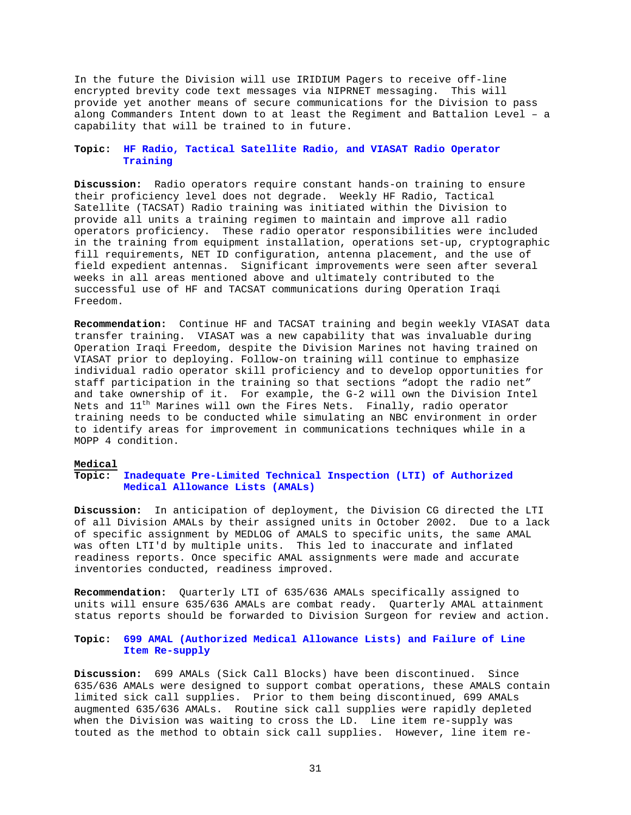In the future the Division will use IRIDIUM Pagers to receive off-line encrypted brevity code text messages via NIPRNET messaging. This will provide yet another means of secure communications for the Division to pass along Commanders Intent down to at least the Regiment and Battalion Level – a capability that will be trained to in future.

## **Topic: HF Radio, Tactical Satellite Radio, and VIASAT Radio Operator Training**

**Discussion:** Radio operators require constant hands-on training to ensure their proficiency level does not degrade. Weekly HF Radio, Tactical Satellite (TACSAT) Radio training was initiated within the Division to provide all units a training regimen to maintain and improve all radio operators proficiency. These radio operator responsibilities were included in the training from equipment installation, operations set-up, cryptographic fill requirements, NET ID configuration, antenna placement, and the use of field expedient antennas. Significant improvements were seen after several weeks in all areas mentioned above and ultimately contributed to the successful use of HF and TACSAT communications during Operation Iraqi Freedom.

**Recommendation:** Continue HF and TACSAT training and begin weekly VIASAT data transfer training. VIASAT was a new capability that was invaluable during Operation Iraqi Freedom, despite the Division Marines not having trained on VIASAT prior to deploying. Follow-on training will continue to emphasize individual radio operator skill proficiency and to develop opportunities for staff participation in the training so that sections "adopt the radio net" and take ownership of it. For example, the G-2 will own the Division Intel Nets and  $11<sup>th</sup>$  Marines will own the Fires Nets. Finally, radio operator training needs to be conducted while simulating an NBC environment in order to identify areas for improvement in communications techniques while in a MOPP 4 condition.

# **Medical**

## **Topic: Inadequate Pre-Limited Technical Inspection (LTI) of Authorized Medical Allowance Lists (AMALs)**

**Discussion:** In anticipation of deployment, the Division CG directed the LTI of all Division AMALs by their assigned units in October 2002. Due to a lack of specific assignment by MEDLOG of AMALS to specific units, the same AMAL was often LTI'd by multiple units. This led to inaccurate and inflated readiness reports. Once specific AMAL assignments were made and accurate inventories conducted, readiness improved.

**Recommendation:** Quarterly LTI of 635/636 AMALs specifically assigned to units will ensure 635/636 AMALs are combat ready. Quarterly AMAL attainment status reports should be forwarded to Division Surgeon for review and action.

# **Topic: 699 AMAL (Authorized Medical Allowance Lists) and Failure of Line Item Re-supply**

**Discussion:** 699 AMALs (Sick Call Blocks) have been discontinued. Since 635/636 AMALs were designed to support combat operations, these AMALS contain limited sick call supplies. Prior to them being discontinued, 699 AMALs augmented 635/636 AMALs. Routine sick call supplies were rapidly depleted when the Division was waiting to cross the LD. Line item re-supply was touted as the method to obtain sick call supplies. However, line item re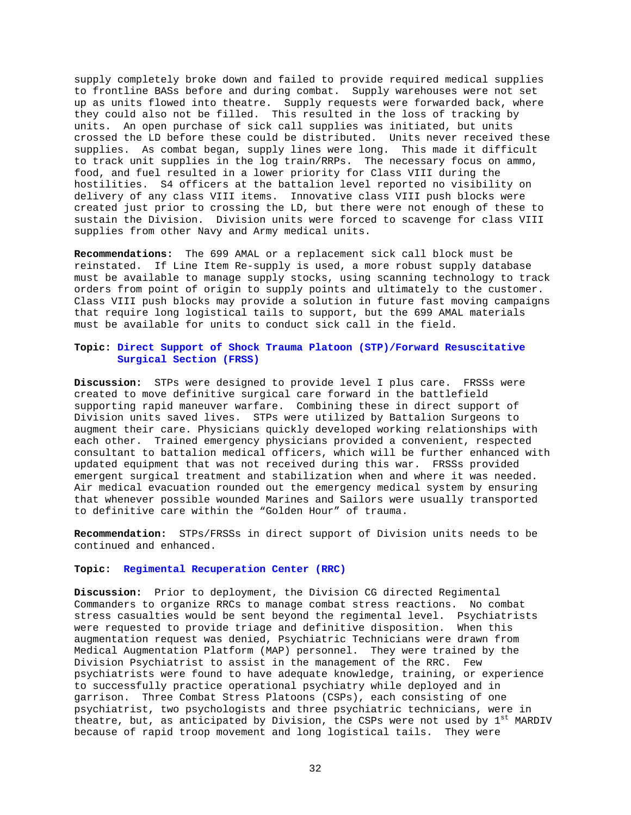supply completely broke down and failed to provide required medical supplies to frontline BASs before and during combat. Supply warehouses were not set up as units flowed into theatre. Supply requests were forwarded back, where they could also not be filled. This resulted in the loss of tracking by units. An open purchase of sick call supplies was initiated, but units crossed the LD before these could be distributed. Units never received these supplies. As combat began, supply lines were long. This made it difficult to track unit supplies in the log train/RRPs. The necessary focus on ammo, food, and fuel resulted in a lower priority for Class VIII during the hostilities. S4 officers at the battalion level reported no visibility on delivery of any class VIII items. Innovative class VIII push blocks were created just prior to crossing the LD, but there were not enough of these to sustain the Division. Division units were forced to scavenge for class VIII supplies from other Navy and Army medical units.

**Recommendations:** The 699 AMAL or a replacement sick call block must be reinstated. If Line Item Re-supply is used, a more robust supply database must be available to manage supply stocks, using scanning technology to track orders from point of origin to supply points and ultimately to the customer. Class VIII push blocks may provide a solution in future fast moving campaigns that require long logistical tails to support, but the 699 AMAL materials must be available for units to conduct sick call in the field.

# **Topic: Direct Support of Shock Trauma Platoon (STP)/Forward Resuscitative Surgical Section (FRSS)**

**Discussion:** STPs were designed to provide level I plus care. FRSSs were created to move definitive surgical care forward in the battlefield supporting rapid maneuver warfare. Combining these in direct support of Division units saved lives. STPs were utilized by Battalion Surgeons to augment their care. Physicians quickly developed working relationships with each other. Trained emergency physicians provided a convenient, respected consultant to battalion medical officers, which will be further enhanced with updated equipment that was not received during this war. FRSSs provided emergent surgical treatment and stabilization when and where it was needed. Air medical evacuation rounded out the emergency medical system by ensuring that whenever possible wounded Marines and Sailors were usually transported to definitive care within the "Golden Hour" of trauma.

**Recommendation:** STPs/FRSSs in direct support of Division units needs to be continued and enhanced.

#### **Topic: Regimental Recuperation Center (RRC)**

**Discussion:** Prior to deployment, the Division CG directed Regimental Commanders to organize RRCs to manage combat stress reactions. No combat stress casualties would be sent beyond the regimental level. Psychiatrists were requested to provide triage and definitive disposition. When this augmentation request was denied, Psychiatric Technicians were drawn from Medical Augmentation Platform (MAP) personnel. They were trained by the Division Psychiatrist to assist in the management of the RRC. Few psychiatrists were found to have adequate knowledge, training, or experience to successfully practice operational psychiatry while deployed and in garrison. Three Combat Stress Platoons (CSPs), each consisting of one psychiatrist, two psychologists and three psychiatric technicians, were in theatre, but, as anticipated by Division, the CSPs were not used by  $1<sup>st</sup>$  MARDIV because of rapid troop movement and long logistical tails. They were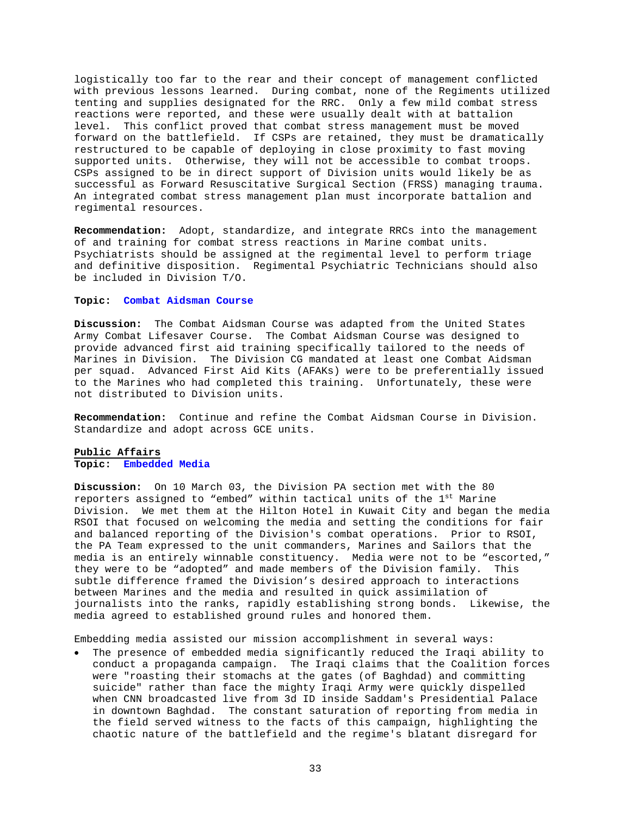logistically too far to the rear and their concept of management conflicted with previous lessons learned. During combat, none of the Regiments utilized tenting and supplies designated for the RRC. Only a few mild combat stress reactions were reported, and these were usually dealt with at battalion level. This conflict proved that combat stress management must be moved forward on the battlefield. If CSPs are retained, they must be dramatically restructured to be capable of deploying in close proximity to fast moving supported units. Otherwise, they will not be accessible to combat troops. CSPs assigned to be in direct support of Division units would likely be as successful as Forward Resuscitative Surgical Section (FRSS) managing trauma. An integrated combat stress management plan must incorporate battalion and regimental resources.

**Recommendation:** Adopt, standardize, and integrate RRCs into the management of and training for combat stress reactions in Marine combat units. Psychiatrists should be assigned at the regimental level to perform triage and definitive disposition. Regimental Psychiatric Technicians should also be included in Division T/O.

#### **Topic: Combat Aidsman Course**

**Discussion:** The Combat Aidsman Course was adapted from the United States Army Combat Lifesaver Course. The Combat Aidsman Course was designed to provide advanced first aid training specifically tailored to the needs of Marines in Division. The Division CG mandated at least one Combat Aidsman per squad. Advanced First Aid Kits (AFAKs) were to be preferentially issued to the Marines who had completed this training. Unfortunately, these were not distributed to Division units.

**Recommendation:** Continue and refine the Combat Aidsman Course in Division. Standardize and adopt across GCE units.

### **Public Affairs Topic: Embedded Media**

**Discussion:** On 10 March 03, the Division PA section met with the 80 reporters assigned to "embed" within tactical units of the 1st Marine Division. We met them at the Hilton Hotel in Kuwait City and began the media RSOI that focused on welcoming the media and setting the conditions for fair and balanced reporting of the Division's combat operations. Prior to RSOI, the PA Team expressed to the unit commanders, Marines and Sailors that the media is an entirely winnable constituency. Media were not to be "escorted," they were to be "adopted" and made members of the Division family. This subtle difference framed the Division's desired approach to interactions between Marines and the media and resulted in quick assimilation of journalists into the ranks, rapidly establishing strong bonds. Likewise, the media agreed to established ground rules and honored them.

Embedding media assisted our mission accomplishment in several ways:

The presence of embedded media significantly reduced the Iraqi ability to conduct a propaganda campaign. The Iraqi claims that the Coalition forces were "roasting their stomachs at the gates (of Baghdad) and committing suicide" rather than face the mighty Iraqi Army were quickly dispelled when CNN broadcasted live from 3d ID inside Saddam's Presidential Palace in downtown Baghdad. The constant saturation of reporting from media in the field served witness to the facts of this campaign, highlighting the chaotic nature of the battlefield and the regime's blatant disregard for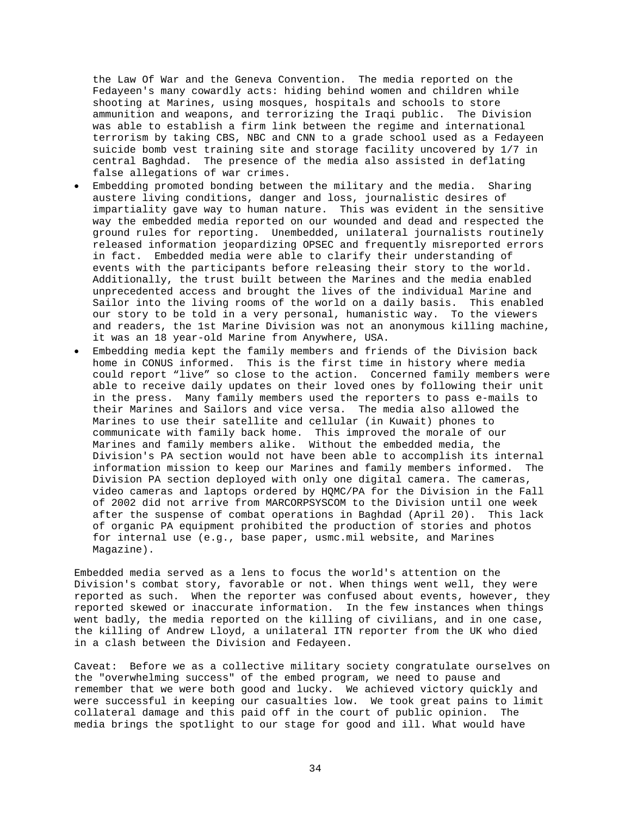the Law Of War and the Geneva Convention. The media reported on the Fedayeen's many cowardly acts: hiding behind women and children while shooting at Marines, using mosques, hospitals and schools to store ammunition and weapons, and terrorizing the Iraqi public. The Division was able to establish a firm link between the regime and international terrorism by taking CBS, NBC and CNN to a grade school used as a Fedayeen suicide bomb vest training site and storage facility uncovered by 1/7 in central Baghdad. The presence of the media also assisted in deflating false allegations of war crimes.

- Embedding promoted bonding between the military and the media. Sharing austere living conditions, danger and loss, journalistic desires of impartiality gave way to human nature. This was evident in the sensitive way the embedded media reported on our wounded and dead and respected the ground rules for reporting. Unembedded, unilateral journalists routinely released information jeopardizing OPSEC and frequently misreported errors in fact. Embedded media were able to clarify their understanding of events with the participants before releasing their story to the world. Additionally, the trust built between the Marines and the media enabled unprecedented access and brought the lives of the individual Marine and Sailor into the living rooms of the world on a daily basis. This enabled our story to be told in a very personal, humanistic way. To the viewers and readers, the 1st Marine Division was not an anonymous killing machine, it was an 18 year-old Marine from Anywhere, USA.
- Embedding media kept the family members and friends of the Division back home in CONUS informed. This is the first time in history where media could report "live" so close to the action. Concerned family members were able to receive daily updates on their loved ones by following their unit in the press. Many family members used the reporters to pass e-mails to their Marines and Sailors and vice versa. The media also allowed the Marines to use their satellite and cellular (in Kuwait) phones to communicate with family back home. This improved the morale of our Marines and family members alike. Without the embedded media, the Division's PA section would not have been able to accomplish its internal information mission to keep our Marines and family members informed. The Division PA section deployed with only one digital camera. The cameras, video cameras and laptops ordered by HQMC/PA for the Division in the Fall of 2002 did not arrive from MARCORPSYSCOM to the Division until one week after the suspense of combat operations in Baghdad (April 20). This lack of organic PA equipment prohibited the production of stories and photos for internal use (e.g., base paper, usmc.mil website, and Marines Magazine).

Embedded media served as a lens to focus the world's attention on the Division's combat story, favorable or not. When things went well, they were reported as such. When the reporter was confused about events, however, they reported skewed or inaccurate information. In the few instances when things went badly, the media reported on the killing of civilians, and in one case, the killing of Andrew Lloyd, a unilateral ITN reporter from the UK who died in a clash between the Division and Fedayeen.

Caveat: Before we as a collective military society congratulate ourselves on the "overwhelming success" of the embed program, we need to pause and remember that we were both good and lucky. We achieved victory quickly and were successful in keeping our casualties low. We took great pains to limit collateral damage and this paid off in the court of public opinion. The media brings the spotlight to our stage for good and ill. What would have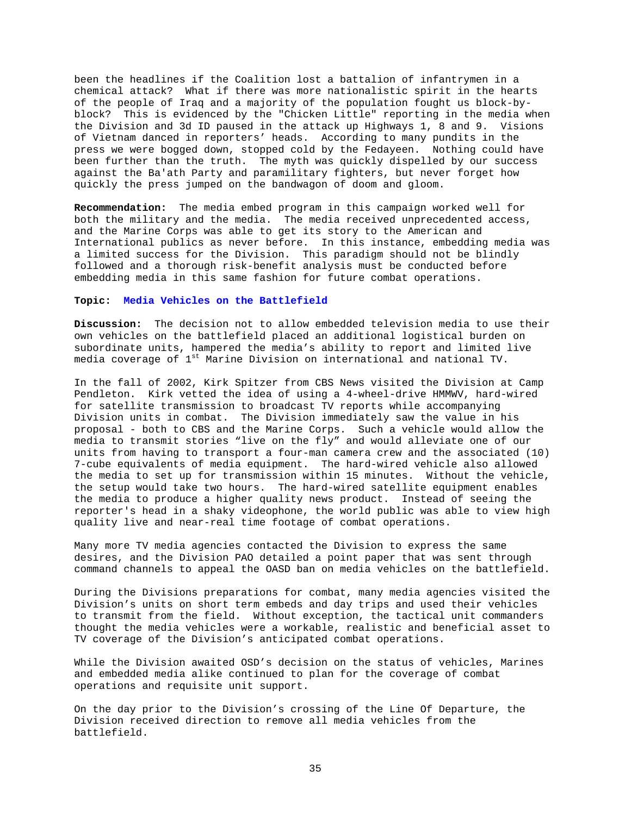been the headlines if the Coalition lost a battalion of infantrymen in a chemical attack? What if there was more nationalistic spirit in the hearts of the people of Iraq and a majority of the population fought us block-byblock? This is evidenced by the "Chicken Little" reporting in the media when the Division and 3d ID paused in the attack up Highways 1, 8 and 9. Visions of Vietnam danced in reporters' heads. According to many pundits in the press we were bogged down, stopped cold by the Fedayeen. Nothing could have been further than the truth. The myth was quickly dispelled by our success against the Ba'ath Party and paramilitary fighters, but never forget how quickly the press jumped on the bandwagon of doom and gloom.

**Recommendation:** The media embed program in this campaign worked well for both the military and the media. The media received unprecedented access, and the Marine Corps was able to get its story to the American and International publics as never before. In this instance, embedding media was a limited success for the Division. This paradigm should not be blindly followed and a thorough risk-benefit analysis must be conducted before embedding media in this same fashion for future combat operations.

### **Topic: Media Vehicles on the Battlefield**

**Discussion:** The decision not to allow embedded television media to use their own vehicles on the battlefield placed an additional logistical burden on subordinate units, hampered the media's ability to report and limited live media coverage of 1<sup>st</sup> Marine Division on international and national TV.

In the fall of 2002, Kirk Spitzer from CBS News visited the Division at Camp Pendleton. Kirk vetted the idea of using a 4-wheel-drive HMMWV, hard-wired for satellite transmission to broadcast TV reports while accompanying Division units in combat. The Division immediately saw the value in his proposal - both to CBS and the Marine Corps. Such a vehicle would allow the media to transmit stories "live on the fly" and would alleviate one of our units from having to transport a four-man camera crew and the associated (10) 7-cube equivalents of media equipment. The hard-wired vehicle also allowed the media to set up for transmission within 15 minutes. Without the vehicle, the setup would take two hours. The hard-wired satellite equipment enables the media to produce a higher quality news product. Instead of seeing the reporter's head in a shaky videophone, the world public was able to view high quality live and near-real time footage of combat operations.

Many more TV media agencies contacted the Division to express the same desires, and the Division PAO detailed a point paper that was sent through command channels to appeal the OASD ban on media vehicles on the battlefield.

During the Divisions preparations for combat, many media agencies visited the Division's units on short term embeds and day trips and used their vehicles to transmit from the field. Without exception, the tactical unit commanders thought the media vehicles were a workable, realistic and beneficial asset to TV coverage of the Division's anticipated combat operations.

While the Division awaited OSD's decision on the status of vehicles, Marines and embedded media alike continued to plan for the coverage of combat operations and requisite unit support.

On the day prior to the Division's crossing of the Line Of Departure, the Division received direction to remove all media vehicles from the battlefield.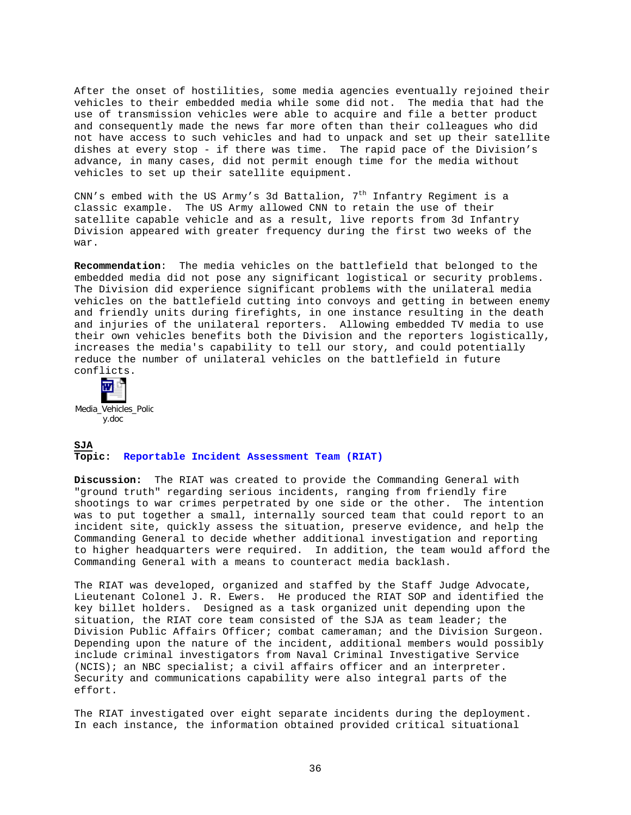After the onset of hostilities, some media agencies eventually rejoined their vehicles to their embedded media while some did not. The media that had the use of transmission vehicles were able to acquire and file a better product and consequently made the news far more often than their colleagues who did not have access to such vehicles and had to unpack and set up their satellite dishes at every stop - if there was time. The rapid pace of the Division's advance, in many cases, did not permit enough time for the media without vehicles to set up their satellite equipment.

CNN's embed with the US Army's 3d Battalion,  $7<sup>th</sup>$  Infantry Regiment is a classic example. The US Army allowed CNN to retain the use of their satellite capable vehicle and as a result, live reports from 3d Infantry Division appeared with greater frequency during the first two weeks of the war.

**Recommendation**: The media vehicles on the battlefield that belonged to the embedded media did not pose any significant logistical or security problems. The Division did experience significant problems with the unilateral media vehicles on the battlefield cutting into convoys and getting in between enemy and friendly units during firefights, in one instance resulting in the death and injuries of the unilateral reporters. Allowing embedded TV media to use their own vehicles benefits both the Division and the reporters logistically, increases the media's capability to tell our story, and could potentially reduce the number of unilateral vehicles on the battlefield in future conflicts.



# **SJA Topic: Reportable Incident Assessment Team (RIAT)**

**Discussion:** The RIAT was created to provide the Commanding General with "ground truth" regarding serious incidents, ranging from friendly fire shootings to war crimes perpetrated by one side or the other. The intention was to put together a small, internally sourced team that could report to an incident site, quickly assess the situation, preserve evidence, and help the Commanding General to decide whether additional investigation and reporting to higher headquarters were required. In addition, the team would afford the Commanding General with a means to counteract media backlash.

The RIAT was developed, organized and staffed by the Staff Judge Advocate, Lieutenant Colonel J. R. Ewers. He produced the RIAT SOP and identified the key billet holders. Designed as a task organized unit depending upon the situation, the RIAT core team consisted of the SJA as team leader; the Division Public Affairs Officer; combat cameraman; and the Division Surgeon. Depending upon the nature of the incident, additional members would possibly include criminal investigators from Naval Criminal Investigative Service (NCIS); an NBC specialist; a civil affairs officer and an interpreter. Security and communications capability were also integral parts of the effort.

The RIAT investigated over eight separate incidents during the deployment. In each instance, the information obtained provided critical situational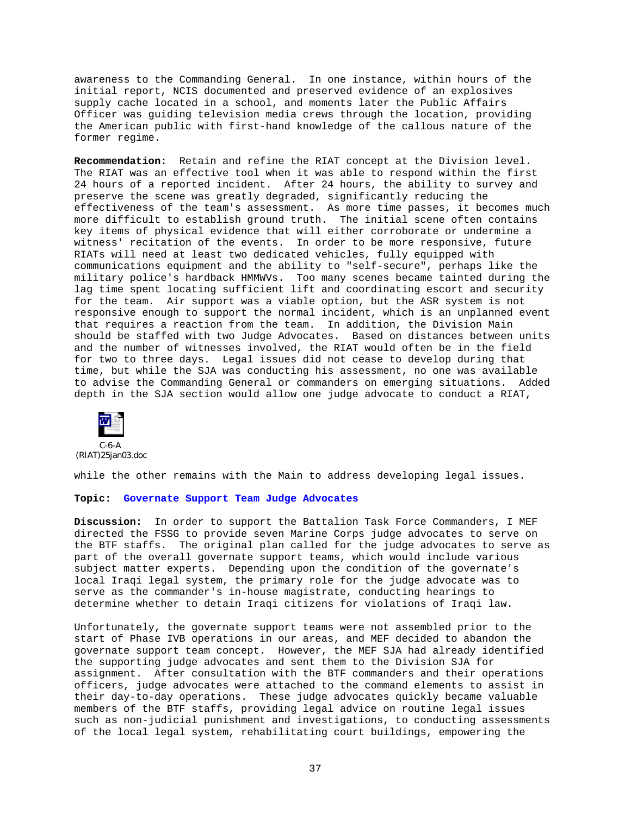awareness to the Commanding General. In one instance, within hours of the initial report, NCIS documented and preserved evidence of an explosives supply cache located in a school, and moments later the Public Affairs Officer was guiding television media crews through the location, providing the American public with first-hand knowledge of the callous nature of the former regime.

**Recommendation:** Retain and refine the RIAT concept at the Division level. The RIAT was an effective tool when it was able to respond within the first 24 hours of a reported incident. After 24 hours, the ability to survey and preserve the scene was greatly degraded, significantly reducing the effectiveness of the team's assessment. As more time passes, it becomes much more difficult to establish ground truth. The initial scene often contains key items of physical evidence that will either corroborate or undermine a witness' recitation of the events. In order to be more responsive, future RIATs will need at least two dedicated vehicles, fully equipped with communications equipment and the ability to "self-secure", perhaps like the military police's hardback HMMWVs. Too many scenes became tainted during the lag time spent locating sufficient lift and coordinating escort and security for the team. Air support was a viable option, but the ASR system is not responsive enough to support the normal incident, which is an unplanned event that requires a reaction from the team. In addition, the Division Main should be staffed with two Judge Advocates. Based on distances between units and the number of witnesses involved, the RIAT would often be in the field for two to three days. Legal issues did not cease to develop during that time, but while the SJA was conducting his assessment, no one was available to advise the Commanding General or commanders on emerging situations. Added depth in the SJA section would allow one judge advocate to conduct a RIAT,



C-6-A (RIAT)25jan03.doc

while the other remains with the Main to address developing legal issues.

#### **Topic: Governate Support Team Judge Advocates**

**Discussion:** In order to support the Battalion Task Force Commanders, I MEF directed the FSSG to provide seven Marine Corps judge advocates to serve on the BTF staffs. The original plan called for the judge advocates to serve as part of the overall governate support teams, which would include various subject matter experts. Depending upon the condition of the governate's local Iraqi legal system, the primary role for the judge advocate was to serve as the commander's in-house magistrate, conducting hearings to determine whether to detain Iraqi citizens for violations of Iraqi law.

Unfortunately, the governate support teams were not assembled prior to the start of Phase IVB operations in our areas, and MEF decided to abandon the governate support team concept. However, the MEF SJA had already identified the supporting judge advocates and sent them to the Division SJA for assignment. After consultation with the BTF commanders and their operations officers, judge advocates were attached to the command elements to assist in their day-to-day operations. These judge advocates quickly became valuable members of the BTF staffs, providing legal advice on routine legal issues such as non-judicial punishment and investigations, to conducting assessments of the local legal system, rehabilitating court buildings, empowering the